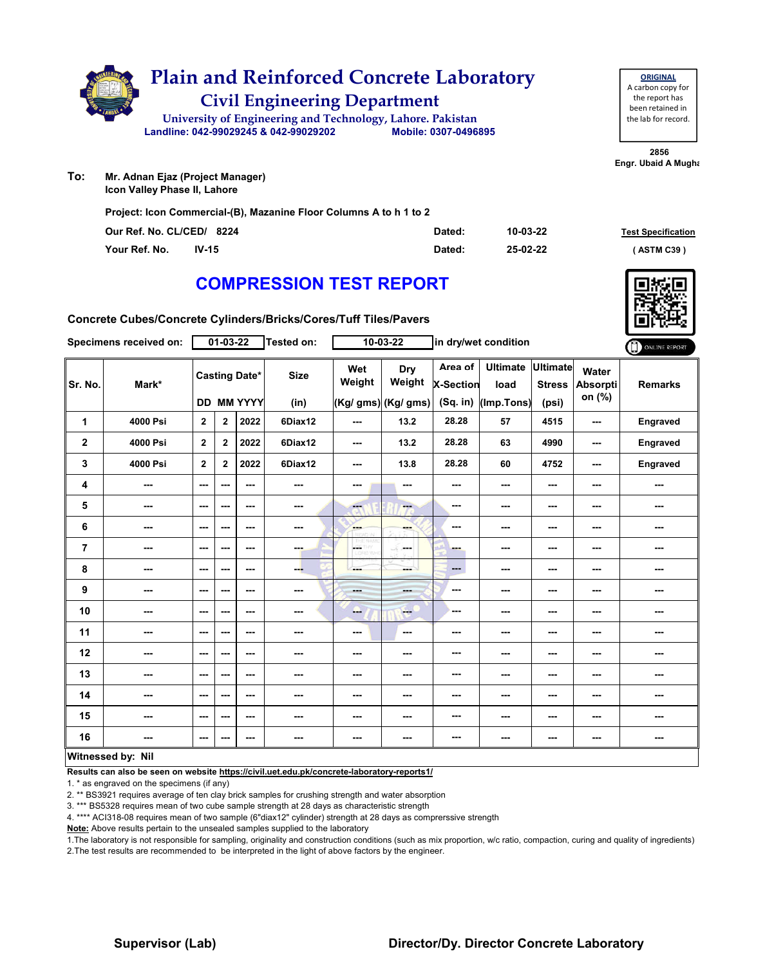

# **Civil Engineering Department Plain and Reinforced Concrete Laboratory**

**Landline: 042-99029245 & 042-99029202 Mobile: 0307-0496895 University of Engineering and Technology, Lahore. Pakistan**

| <b>ORIGINAL</b>     |
|---------------------|
| A carbon copy for   |
| the report has      |
| been retained in    |
| the lab for record. |
|                     |

**2856 Engr. Ubaid A Mugha** 

**To: Mr. Adnan Ejaz (Project Manager) Icon Valley Phase II, Lahore**

**Project: Icon Commercial-(B), Mazanine Floor Columns A to h 1 to 2**

| Our Ref. No. CL/CED/ 8224 |         | Dated: | 10-03-22 | <b>Test Specification</b> |
|---------------------------|---------|--------|----------|---------------------------|
| Your Ref. No.             | $IV-15$ | Dated: | 25-02-22 | (ASTM C39)                |

### **COMPRESSION TEST REPORT**

**Concrete Cubes/Concrete Cylinders/Bricks/Cores/Tuff Tiles/Pavers**

|              | Specimens received on:   |                          | $01 - 03 - 22$ |                                    | <b>Tested on:</b>        |               | $10 - 03 - 22$                       |                                         | in dry/wet condition                  |                                    |                             | ONLINE REPORT  |
|--------------|--------------------------|--------------------------|----------------|------------------------------------|--------------------------|---------------|--------------------------------------|-----------------------------------------|---------------------------------------|------------------------------------|-----------------------------|----------------|
| Sr. No.      | Mark*                    |                          |                | <b>Casting Date*</b><br>DD MM YYYY | <b>Size</b><br>(in)      | Wet<br>Weight | Dry<br>Weight<br>(Kg/ gms) (Kg/ gms) | Area of<br><b>X-Section</b><br>(Sq. in) | <b>Ultimate</b><br>load<br>(Imp.Tons) | Ultimate<br><b>Stress</b><br>(psi) | Water<br>Absorpti<br>on (%) | <b>Remarks</b> |
| 1            | 4000 Psi                 | $\mathbf{2}$             | $\mathbf 2$    | 2022                               | 6Diax12                  | ---           | 13.2                                 | 28.28                                   | 57                                    | 4515                               | $\frac{1}{2}$               | Engraved       |
| $\mathbf{2}$ | 4000 Psi                 | $\overline{2}$           | $\mathbf{2}$   | 2022                               | 6Diax12                  | ---           | 13.2                                 | 28.28                                   | 63                                    | 4990                               | $\cdots$                    | Engraved       |
| 3            | 4000 Psi                 | $\overline{2}$           | $\mathbf{2}$   | 2022                               | 6Diax12                  | ---           | 13.8                                 | 28.28                                   | 60                                    | 4752                               | ---                         | Engraved       |
| 4            | ---                      | ---                      | ---            | ---                                | $\overline{\phantom{a}}$ | ---           | ---                                  | ---                                     | ---                                   | ---                                | ---                         | ---            |
| 5            | $\overline{\phantom{a}}$ | $\overline{\phantom{a}}$ | ---            | ---                                | $\overline{\phantom{a}}$ | $-1$          | ---                                  | $\sim$ $\sim$                           | ---                                   | ---                                | ---                         | ---            |
| 6            | ---                      | ---                      | ---            | ---                                | $\overline{\phantom{a}}$ | <b>Barnet</b> | ---                                  | $\sim$ $\sim$                           | ---                                   | ---                                | ---                         | ---            |
| 7            | $\overline{\phantom{a}}$ | $\sim$ $\sim$            | ---            | $\sim$ $\sim$                      | ---                      | A.<br>ORD WH  | -S.<br><b>Security</b>               | <b>Barnet</b>                           | ---                                   | ---                                | $\cdots$                    | ---            |
| 8            | $\overline{\phantom{a}}$ | $\sim$                   | ---            | $\sim$ $\sim$                      | ---                      | ---           | ---                                  | $\qquad \qquad \cdots$                  | $\overline{\phantom{a}}$              | ---                                | $\overline{\phantom{a}}$    | ---            |
| 9            | ---                      | $\sim$                   | ---            | $\sim$                             | $\overline{\phantom{a}}$ | ---           | <b>SHOP</b>                          | $\sim$ $\sim$                           | $\overline{\phantom{a}}$              | ---                                | $\overline{\phantom{a}}$    | ---            |
| 10           | $\overline{\phantom{a}}$ | $\sim$                   | ---            | $\sim$ $\sim$                      | $\overline{\phantom{a}}$ | --            | ---                                  | ---                                     | $--$                                  | ---                                | ---                         | ---            |
| 11           | $--$                     | $\sim$ $\sim$            | ---            | ---                                | $\overline{\phantom{a}}$ | ---           | $\overline{\phantom{a}}$             | ---                                     | ---                                   | ---                                | ---                         | ---            |
| 12           | $\sim$ $\sim$            | $\sim$ $\sim$            | ---            | $\sim$ $\sim$                      | $\sim$ $\sim$            | ---           | $\sim$ $\sim$                        | ---                                     | ---                                   | ---                                | ---                         | ---            |
| 13           | ---                      | $\sim$ $\sim$            | ---            | $\sim$ $\sim$                      | $\sim$ $\sim$            | ---           | ---                                  | ---                                     | ---                                   | ---                                | $\sim$ $\sim$               | ---            |
| 14           | $\overline{\phantom{a}}$ | $\sim$                   | ---            | $\sim$                             | $\overline{\phantom{a}}$ | ---           | ---                                  | ---                                     | $\overline{\phantom{a}}$              | ---                                | $\cdots$                    | ---            |
| 15           | $\overline{\phantom{a}}$ | $\sim$                   | ---            | $\sim$                             | $\overline{\phantom{a}}$ | ---           | ---                                  | $- - -$                                 | ---                                   | ---                                | ---                         | ---            |
| 16           | ---                      | $\sim$ $\sim$            | ---            | $\sim$ $\sim$                      | ---                      | ---           | ---                                  | ---                                     | ---                                   | ---                                | ---                         | ---            |
|              | Witnessed by: Nil        |                          |                |                                    |                          |               |                                      |                                         |                                       |                                    |                             |                |

**Witnessed by: Nil**

**Results can also be seen on website https://civil.uet.edu.pk/concrete-laboratory-reports1/**

1. \* as engraved on the specimens (if any)

2. \*\* BS3921 requires average of ten clay brick samples for crushing strength and water absorption

3. \*\*\* BS5328 requires mean of two cube sample strength at 28 days as characteristic strength

4. \*\*\*\* ACI318-08 requires mean of two sample (6"diax12" cylinder) strength at 28 days as comprerssive strength

**Note:** Above results pertain to the unsealed samples supplied to the laboratory

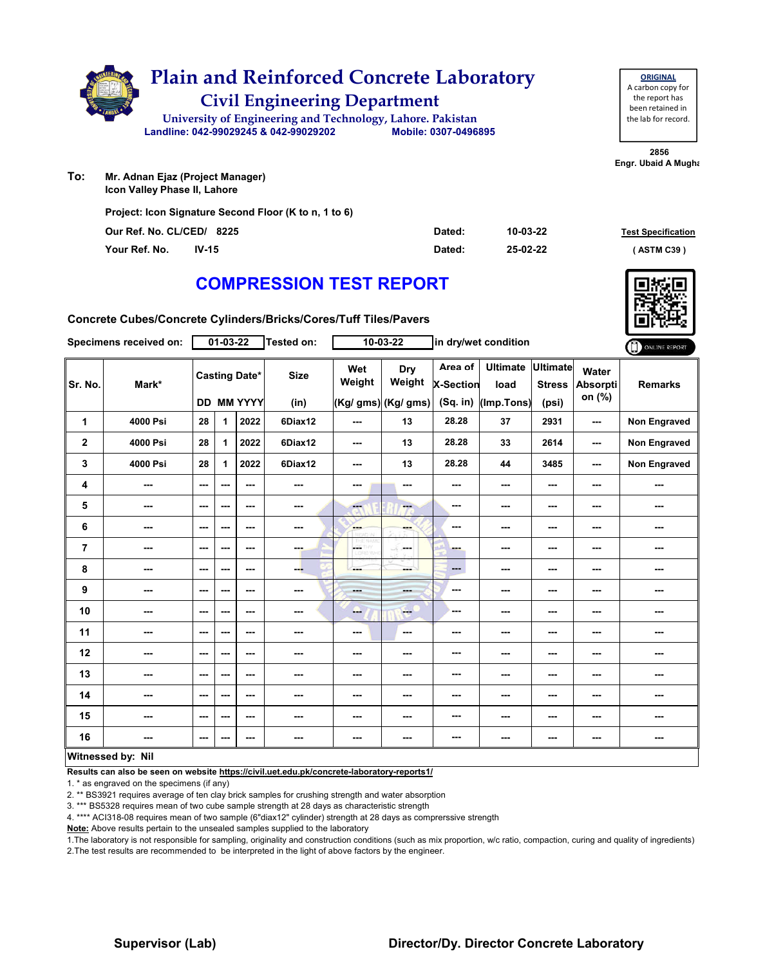

**To: Icon Valley Phase II, Lahore**

**Project: Icon Signature Second Floor (K to n, 1 to 6)**

| Our Ref. No. CL/CED/ 8225 |         | Dated: | 10-03-22 | <b>Test Specification</b> |
|---------------------------|---------|--------|----------|---------------------------|
| Your Ref. No.             | $IV-15$ | Dated: | 25-02-22 | (ASTM C39)                |

### **COMPRESSION TEST REPORT**

**Concrete Cubes/Concrete Cylinders/Bricks/Cores/Tuff Tiles/Pavers**

|                         | Specimens received on:   |                          | 01-03-22 |                                           | Tested on:               |                        | 10-03-22                             |                                    | in dry/wet condition                  |                                           |                                    | ONLINE REPORT       |
|-------------------------|--------------------------|--------------------------|----------|-------------------------------------------|--------------------------|------------------------|--------------------------------------|------------------------------------|---------------------------------------|-------------------------------------------|------------------------------------|---------------------|
| Sr. No.                 | Mark*                    |                          |          | <b>Casting Date*</b><br><b>DD MM YYYY</b> | <b>Size</b><br>(in)      | Wet<br>Weight          | Dry<br>Weight<br>(Kg/ gms) (Kg/ gms) | Area of<br>X-Section<br>$(Sq.$ in) | <b>Ultimate</b><br>load<br>(Imp.Tons) | <b>Ultimate</b><br><b>Stress</b><br>(psi) | Water<br><b>Absorpti</b><br>on (%) | <b>Remarks</b>      |
| 1                       | 4000 Psi                 | 28                       | 1        | 2022                                      | 6Diax12                  | ---                    | 13                                   | 28.28                              | 37                                    | 2931                                      | ---                                | Non Engraved        |
| $\overline{\mathbf{2}}$ | 4000 Psi                 | 28                       | 1        | 2022                                      | 6Diax12                  | ---                    | 13                                   | 28.28                              | 33                                    | 2614                                      | ---                                | Non Engraved        |
| 3                       | 4000 Psi                 | 28                       | 1        | 2022                                      | 6Diax12                  | ---                    | 13                                   | 28.28                              | 44                                    | 3485                                      | ---                                | <b>Non Engraved</b> |
| 4                       | $\sim$ $\sim$            | $- - -$                  | ---      | ---                                       | ---                      | ---                    | ---                                  | ---                                | ---                                   | $--$                                      | ---                                | ---                 |
| 5                       | ---                      | $\sim$ $\sim$            | ---      | ---                                       | ---                      | ---                    | ---                                  | ---                                | ---                                   | ---                                       | ---                                | ---                 |
| 6                       | ---                      | $\overline{\phantom{a}}$ | ---      | $--$                                      | $\overline{\phantom{a}}$ | <b>AMP</b>             | ---                                  | ---                                | ---                                   | ---                                       | ---                                | ---                 |
| $\overline{7}$          | ---                      | $\sim$                   | ---      | ---                                       | ---                      | L.<br>W<br>LIOFED WING | SS.<br><b>Service</b>                | ---                                | ---                                   | ---                                       | ---                                | ---                 |
| 8                       | ---                      | $\overline{\phantom{a}}$ | ---      | $--$                                      | --                       | ---                    | ---                                  | ---                                | ---                                   | ---                                       | ---                                | ---                 |
| $\boldsymbol{9}$        | ---                      | $\cdots$                 | ---      | ---                                       | $\overline{\phantom{a}}$ | $- - -$                | ---                                  | ---                                | ---                                   | ---                                       | ---                                | ---                 |
| 10                      | ---                      | $\sim$                   | ---      | $- - -$                                   | ---                      | --                     | $-1$                                 | ---                                | ---                                   | ---                                       | ---                                | ---                 |
| 11                      | ---                      | $\sim$ $\sim$            | ---      | ---                                       | $\sim$                   | $\sim$                 | ---                                  | ---                                | ---                                   | ---                                       | ---                                | ---                 |
| 12                      | ---                      | $\overline{\phantom{a}}$ | ---      | ---                                       | ---                      | ---                    | ---                                  | ---                                | ---                                   | ---                                       | ---                                | ---                 |
| 13                      | ---                      | $\sim$                   | ---      | ---                                       | ---                      | ---                    | ---                                  | ---                                | ---                                   | ---                                       | ---                                | ---                 |
| 14                      | ---                      | $\overline{\phantom{a}}$ | ---      | ---                                       | ---                      | ---                    | ---                                  | ---                                | ---                                   | ---                                       | ---                                | ---                 |
| 15                      | ---                      | $\sim$ $\sim$            | ---      | $--$                                      | ---                      | ---                    | ---                                  | ---                                | ---                                   | ---                                       | ---                                | ---                 |
| 16                      |                          | $\sim$ $\sim$            | ---      | ---                                       | ---                      | ---                    | ---                                  | ---                                | ---                                   | ---                                       | ---                                | ---                 |
|                         | <b>Witnessed by: Nil</b> |                          |          |                                           |                          |                        |                                      |                                    |                                       |                                           |                                    |                     |

#### **Witnessed by: Nil**

**Results can also be seen on website https://civil.uet.edu.pk/concrete-laboratory-reports1/**

1. \* as engraved on the specimens (if any)

2. \*\* BS3921 requires average of ten clay brick samples for crushing strength and water absorption

3. \*\*\* BS5328 requires mean of two cube sample strength at 28 days as characteristic strength

4. \*\*\*\* ACI318-08 requires mean of two sample (6"diax12" cylinder) strength at 28 days as comprerssive strength

**Note:** Above results pertain to the unsealed samples supplied to the laboratory

1.The laboratory is not responsible for sampling, originality and construction conditions (such as mix proportion, w/c ratio, compaction, curing and quality of ingredients) 2.The test results are recommended to be interpreted in the light of above factors by the engineer.



**2856 Engr. Ubaid A Mugha** the lab for record.

**ORIGINAL** A carbon copy for the report has been retained in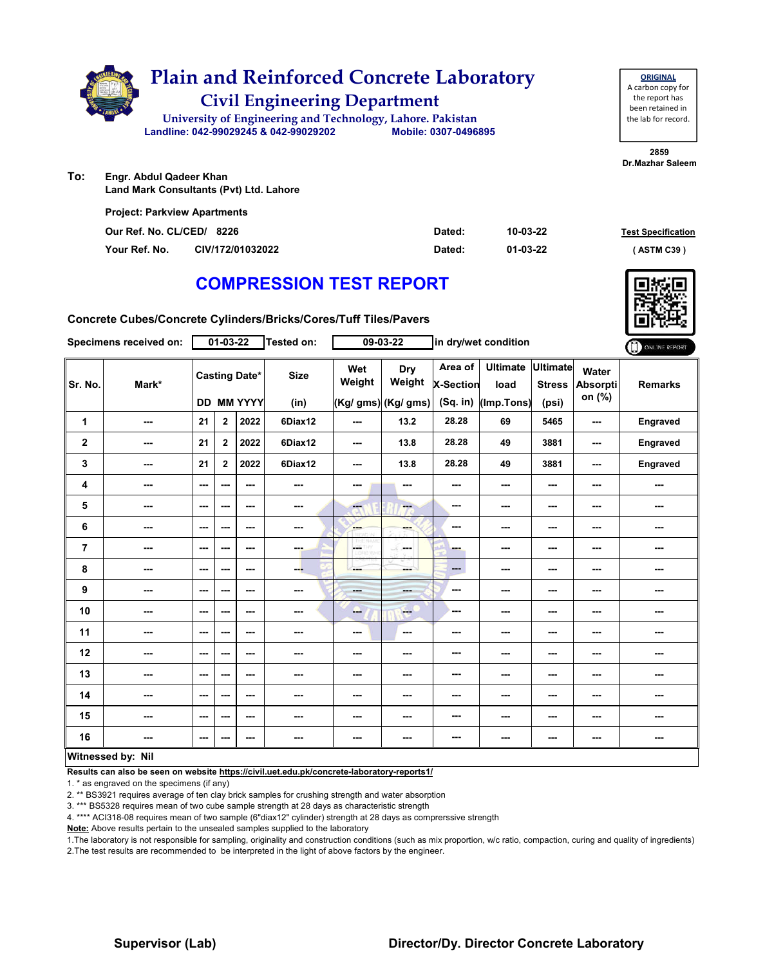

| <b>ORIGINAL</b>     |
|---------------------|
| A carbon copy for   |
| the report has      |
| been retained in    |
| the lab for record. |
|                     |

**2859 Dr.Mazhar Saleem**

**To: Engr. Abdul Qadeer Khan Land Mark Consultants (Pvt) Ltd. Lahore**

| <b>Project: Parkview Apartments</b> |                  |        |          |                           |
|-------------------------------------|------------------|--------|----------|---------------------------|
| Our Ref. No. CL/CED/ 8226           |                  | Dated: | 10-03-22 | <b>Test Specification</b> |
| Your Ref. No.                       | CIV/172/01032022 | Dated: | 01-03-22 | (ASTM C39)                |

### **COMPRESSION TEST REPORT**

**Concrete Cubes/Concrete Cylinders/Bricks/Cores/Tuff Tiles/Pavers**

|                | Specimens received on:   |                          | $01 - 03 - 22$ |                                           | <b>Tested on:</b>   |               | 09-03-22                                    |                                           | in dry/wet condition                  |                                           |                                    | ONLINE REPORT  |
|----------------|--------------------------|--------------------------|----------------|-------------------------------------------|---------------------|---------------|---------------------------------------------|-------------------------------------------|---------------------------------------|-------------------------------------------|------------------------------------|----------------|
| Sr. No.        | Mark*                    |                          |                | <b>Casting Date*</b><br><b>DD MM YYYY</b> | <b>Size</b><br>(in) | Wet<br>Weight | <b>Dry</b><br>Weight<br>(Kg/ gms) (Kg/ gms) | Area of<br><b>X-Section</b><br>$(Sq.$ in) | <b>Ultimate</b><br>load<br>(Imp.Tons) | <b>Ultimate</b><br><b>Stress</b><br>(psi) | Water<br><b>Absorpti</b><br>on (%) | <b>Remarks</b> |
| 1              | $\overline{\phantom{a}}$ | 21                       | 2              | 2022                                      | 6Diax12             | ---           | 13.2                                        | 28.28                                     | 69                                    | 5465                                      | ---                                | Engraved       |
| $\mathbf 2$    | $\overline{\phantom{a}}$ | 21                       | $\overline{2}$ | 2022                                      | 6Diax12             | $--$          | 13.8                                        | 28.28                                     | 49                                    | 3881                                      | ---                                | Engraved       |
| 3              | ---                      | 21                       | $\overline{2}$ | 2022                                      | 6Diax12             | ---           | 13.8                                        | 28.28                                     | 49                                    | 3881                                      | ---                                | Engraved       |
| 4              | ---                      | $\overline{\phantom{a}}$ | ---            | $\sim$ $\sim$                             | $\sim$              | ---           | ---                                         | ---                                       | ---                                   | ---                                       |                                    | ---            |
| 5              | $\overline{\phantom{a}}$ | $\overline{\phantom{a}}$ | ---            | $\sim$ $\sim$                             | $\sim$              | <b>A</b>      | ---                                         | $\sim$                                    | ---                                   | ---                                       | ---                                | ---            |
| 6              | ---                      | $\overline{\phantom{a}}$ | ---            | $- - -$                                   | $\sim$              | ---           | ---                                         | ---                                       | ---                                   | ---                                       | ---                                | ---            |
| $\overline{7}$ | $\overline{\phantom{a}}$ | $\sim$                   | ---            | $\sim$ $\sim$                             | $-1$                | LGC.<br>D.Wro | and a<br>a S                                | ---                                       | ---                                   | ---                                       | ---                                | ---            |
| 8              | ---                      | ---                      | ---            | ---                                       | ---                 | ---           | mente del                                   | $\qquad \qquad \cdots$                    | ---                                   | ---                                       |                                    | ---            |
| 9              | ---                      | $\sim$                   | ---            | $\sim$ $\sim$                             | $\sim$              | ---           | ---                                         | $-$                                       | ---                                   | ---                                       | ---                                | ---            |
| 10             | $- - -$                  | $\sim$ $\sim$            | ---            | $\sim$ $\sim$                             | $\sim$ $\sim$       | ---           | <b>Free</b>                                 | ---                                       | ---                                   | $\overline{\phantom{a}}$                  | ---                                | ---            |
| 11             | $\overline{\phantom{a}}$ | $--$                     | ---            | $\overline{\phantom{a}}$                  | ---                 | ---           | $\overline{\phantom{a}}$                    | ---                                       | ---                                   | ---                                       | ---                                | ---            |
| 12             | ---                      | ---                      | ---            | $\overline{\phantom{a}}$                  | ---                 | ---           | ---                                         | ---                                       | ---                                   | ---                                       | ---                                | ---            |
| 13             | ---                      | $\sim$                   | ---            | ---                                       | $\sim$              | $\cdots$      | ---                                         | ---                                       | ---                                   | ---                                       | ---                                | ---            |
| 14             | ---                      | $\sim$ $\sim$            | ---            | $\sim$ $\sim$                             | $\sim$ $\sim$       | ---           | ---                                         | ---                                       | ---                                   | ---                                       | ---                                | ---            |
| 15             | ---                      | $--$                     | ---            | $\overline{\phantom{a}}$                  | $\sim$              | ---           | ---                                         | ---                                       | ---                                   | ---                                       | ---                                | ---            |
| 16             | $\overline{\phantom{a}}$ | $\sim$                   | ---            | ---                                       | $\sim$              | ---           | ---                                         | ---                                       | ---                                   | ---                                       | ---                                | ---            |
|                | Witnessed by: Nil        |                          |                |                                           |                     |               |                                             |                                           |                                       |                                           |                                    |                |

### **Results can also be seen on website https://civil.uet.edu.pk/concrete-laboratory-reports1/**

1. \* as engraved on the specimens (if any)

2. \*\* BS3921 requires average of ten clay brick samples for crushing strength and water absorption

3. \*\*\* BS5328 requires mean of two cube sample strength at 28 days as characteristic strength

4. \*\*\*\* ACI318-08 requires mean of two sample (6"diax12" cylinder) strength at 28 days as comprerssive strength

**Note:** Above results pertain to the unsealed samples supplied to the laboratory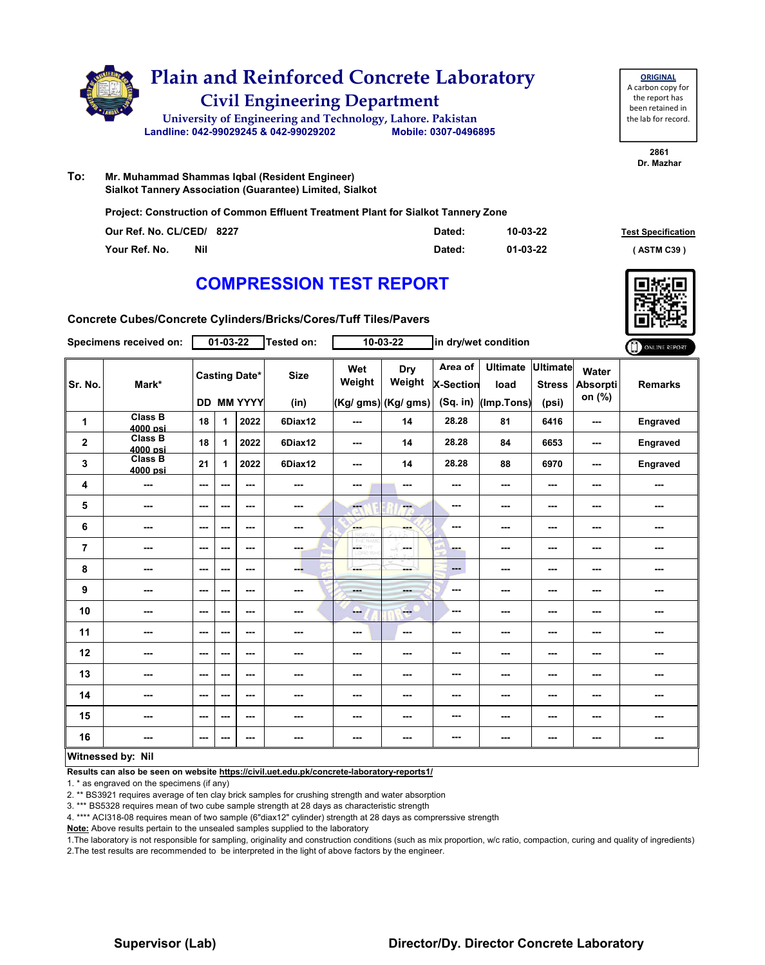

**ORIGINAL** A carbon copy for the report has been retained in the lab for record.

> **2861 Dr. Mazhar**

**To: Mr. Muhammad Shammas Iqbal (Resident Engineer) Sialkot Tannery Association (Guarantee) Limited, Sialkot**

**Project: Construction of Common Effluent Treatment Plant for Sialkot Tannery Zone**

| Our Ref. No. CL/CED/ 8227 |     | Dated: | 10-03-22 | <b>Test Specification</b> |
|---------------------------|-----|--------|----------|---------------------------|
| Your Ref. No.             | Nil | Dated: | 01-03-22 | (ASTM C39)                |

### **COMPRESSION TEST REPORT**

**Concrete Cubes/Concrete Cylinders/Bricks/Cores/Tuff Tiles/Pavers**

|                         | Specimens received on:     |                          | 01-03-22 |                                           | Tested on:               |                      | $10 - 03 - 22$                       |                                         | in dry/wet condition                  |                                           |                                    | ONLINE REPORT  |
|-------------------------|----------------------------|--------------------------|----------|-------------------------------------------|--------------------------|----------------------|--------------------------------------|-----------------------------------------|---------------------------------------|-------------------------------------------|------------------------------------|----------------|
| Sr. No.                 | Mark*                      |                          |          | <b>Casting Date*</b><br><b>DD MM YYYY</b> | <b>Size</b><br>(in)      | Wet<br>Weight        | Dry<br>Weight<br>(Kg/ gms) (Kg/ gms) | Area of<br><b>X-Section</b><br>(Sq. in) | <b>Ultimate</b><br>load<br>(Imp.Tons) | <b>Ultimate</b><br><b>Stress</b><br>(psi) | Water<br><b>Absorpti</b><br>on (%) | <b>Remarks</b> |
| 1                       | <b>Class B</b><br>4000 psi | 18                       | 1        | 2022                                      | 6Diax12                  | ---                  | 14                                   | 28.28                                   | 81                                    | 6416                                      | ---                                | Engraved       |
| $\overline{\mathbf{2}}$ | <b>Class B</b><br>4000 psi | 18                       | 1        | 2022                                      | 6Diax12                  | ---                  | 14                                   | 28.28                                   | 84                                    | 6653                                      | ---                                | Engraved       |
| 3                       | <b>Class B</b><br>4000 psi | 21                       | 1        | 2022                                      | 6Diax12                  | ---                  | 14                                   | 28.28                                   | 88                                    | 6970                                      | ---                                | Engraved       |
| 4                       | ---                        | $-$                      | ---      | ---                                       | ---                      | ---                  | ---                                  | ---                                     | ---                                   | ---                                       | ---                                | ---            |
| 5                       | ---                        | $\sim$ $\sim$            | ---      | $- - -$                                   | $\overline{\phantom{a}}$ | men.                 | ---                                  | ---                                     | ---                                   | ---                                       | ---                                | ---            |
| $\bf 6$                 | ---                        | $\sim$ $\sim$            | ---      | ---                                       | ---                      | <b>Barnet</b>        | ---                                  | ---                                     | ---                                   | ---                                       | ---                                | ---            |
| $\overline{7}$          | ---                        | $\overline{\phantom{a}}$ | ---      | ---                                       | ---                      | L.<br>HY.<br>LORD WH | ---                                  | ---                                     | ---                                   | ---                                       | ---                                | ---            |
| 8                       | ---                        | $\sim$ $\sim$            | ---      | $--$                                      | ---                      | ---                  | ---                                  | $\qquad \qquad \cdots$                  | ---                                   | ---                                       | ---                                | ---            |
| 9                       | ---                        | $\overline{\phantom{a}}$ | ---      | ---                                       | ---                      | <b>Basic</b>         | ---                                  | ---                                     | ---                                   | ---                                       | ---                                | ---            |
| 10                      | ---                        | $\overline{\phantom{a}}$ | ---      | ---                                       | ---                      | ---                  | $-1$                                 | ---                                     | ---                                   | ---                                       | ---                                | ---            |
| 11                      | ---                        | $\overline{\phantom{a}}$ | ---      | ---                                       | ---                      | ---                  | $\sim$                               | ---                                     | ---                                   | ---                                       | ---                                | ---            |
| 12                      | ---                        | $\sim$ $\sim$            | ---      | ---                                       | ---                      | ---                  | ---                                  | ---                                     | ---                                   | ---                                       | ---                                | ---            |
| 13                      | ---                        | $--$                     | ---      | ---                                       | ---                      | ---                  | ---                                  | ---                                     | ---                                   | ---                                       | ---                                | ---            |
| 14                      | ---                        | $-$                      | ---      | ---                                       | ---                      | ---                  | ---                                  | ---                                     | ---                                   | ---                                       | ---                                | ---            |
| 15                      | ---                        | $-$                      | ---      | ---                                       | ---                      | ---                  | ---                                  | ---                                     | ---                                   | ---                                       | ---                                | ---            |
| 16                      | ---                        | $\qquad \qquad \cdots$   | ---      | ---                                       | ---                      | ---                  | ---                                  | ---                                     | ---                                   | ---                                       | ---                                | ---            |
|                         | Witnessed by: Nil          |                          |          |                                           |                          |                      |                                      |                                         |                                       |                                           |                                    |                |

#### **Witnessed by: Nil**

**Results can also be seen on website https://civil.uet.edu.pk/concrete-laboratory-reports1/**

1. \* as engraved on the specimens (if any)

2. \*\* BS3921 requires average of ten clay brick samples for crushing strength and water absorption

3. \*\*\* BS5328 requires mean of two cube sample strength at 28 days as characteristic strength

4. \*\*\*\* ACI318-08 requires mean of two sample (6"diax12" cylinder) strength at 28 days as comprerssive strength

**Note:** Above results pertain to the unsealed samples supplied to the laboratory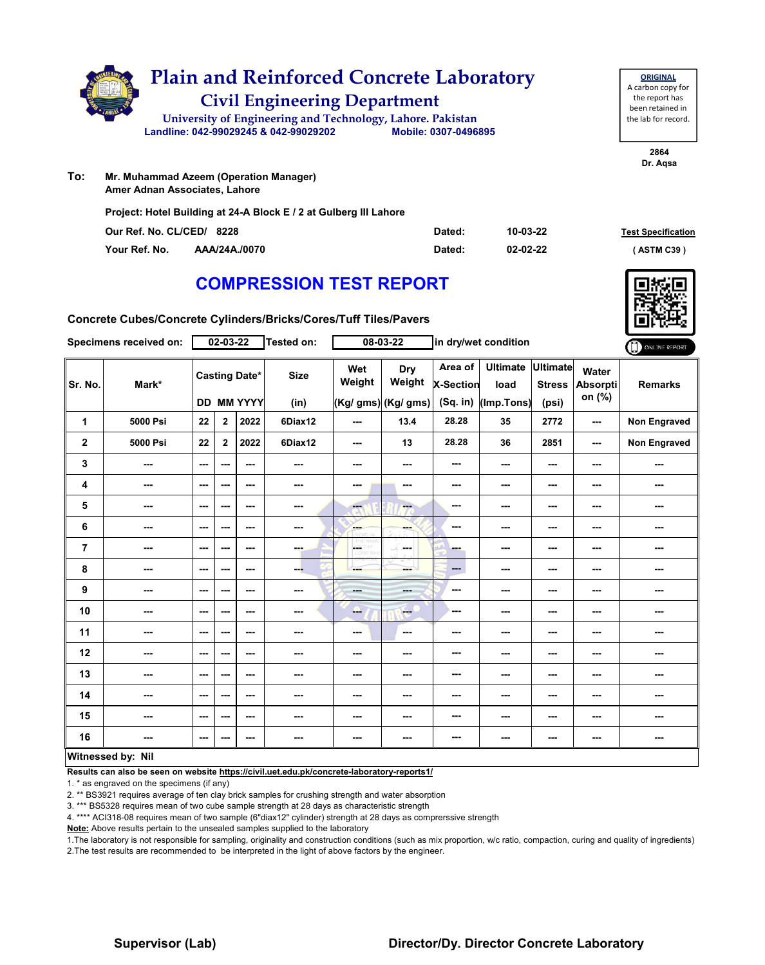|     | <b>Plain and Reinforced Concrete Laboratory</b><br><b>Civil Engineering Department</b>              |                      |  |
|-----|-----------------------------------------------------------------------------------------------------|----------------------|--|
|     | University of Engineering and Technology, Lahore. Pakistan<br>Landline: 042-99029245 & 042-99029202 | Mobile: 0307-0496895 |  |
| To: | Mr. Muhammad Azeem (Operation Manager)<br>Amer Adnan Associates, Lahore                             |                      |  |

**Project: Hotel Building at 24-A Block E / 2 at Gulberg III Lahore**

| Our Ref. No. CL/CED/ 8228 |               | Dated: | 10-03-22 | <b>Test Specification</b> |
|---------------------------|---------------|--------|----------|---------------------------|
| Your Ref. No.             | AAA/24A./0070 | Dated: | 02-02-22 | <b>ASTM C39</b> '         |

**2864 Dr. Aqsa**

**ORIGINAL** A carbon copy for the report has been retained in the lab for record.

### **COMPRESSION TEST REPORT**

**Concrete Cubes/Concrete Cylinders/Bricks/Cores/Tuff Tiles/Pavers**

|                | Specimens received on: |                          | $02 - 03 - 22$ |                                           | Tested on:               |                         | 08-03-22                             | in dry/wet condition                      |                                       |                                           |                                    | ONLINE REPORT       |
|----------------|------------------------|--------------------------|----------------|-------------------------------------------|--------------------------|-------------------------|--------------------------------------|-------------------------------------------|---------------------------------------|-------------------------------------------|------------------------------------|---------------------|
| Sr. No.        | Mark*                  |                          |                | <b>Casting Date*</b><br><b>DD MM YYYY</b> | <b>Size</b><br>(in)      | Wet<br>Weight           | Dry<br>Weight<br>(Kg/ gms) (Kg/ gms) | Area of<br><b>X-Section</b><br>$(Sq.$ in) | <b>Ultimate</b><br>load<br>(Imp.Tons) | <b>Ultimate</b><br><b>Stress</b><br>(psi) | Water<br><b>Absorpti</b><br>on (%) | <b>Remarks</b>      |
| 1              | 5000 Psi               | 22                       | $\mathbf{2}$   | 2022                                      | 6Diax12                  | ---                     | 13.4                                 | 28.28                                     | 35                                    | 2772                                      | ---                                | <b>Non Engraved</b> |
| $\mathbf 2$    | 5000 Psi               | 22                       | $\overline{2}$ | 2022                                      | 6Diax12                  | $-$                     | 13                                   | 28.28                                     | 36                                    | 2851                                      | ---                                | Non Engraved        |
| 3              | ---                    | $\qquad \qquad \cdots$   | ---            | ---                                       | $\overline{\phantom{a}}$ | ---                     | ---                                  | ---                                       | ---                                   | ---                                       | ---                                | ---                 |
| 4              | ---                    | $\sim$ $\sim$            | ---            | ---                                       | $\overline{\phantom{a}}$ | ---                     | $\sim$                               | ---                                       | ---                                   | ---                                       | ---                                | ---                 |
| 5              | ---                    | $\sim$                   | ---            | ---                                       | $\overline{\phantom{a}}$ | $\overline{\mathbf{a}}$ | ---                                  | ---                                       | ---                                   | ---                                       | ---                                | ---                 |
| 6              | ---                    | $\sim$ $\sim$            | ---            | ---                                       | $\sim$                   | <b>SHOP</b>             | ---                                  | ---                                       | ---                                   | ---                                       | ---                                | ---                 |
| $\overline{7}$ | ---                    | $\overline{\phantom{a}}$ | ---            | $--$                                      | ---                      | OETHY                   | ---                                  | ---                                       | ---                                   | ---                                       | ---                                | ---                 |
| 8              | ---                    | $\qquad \qquad \cdots$   | ---            | ---                                       | ---                      | ---                     | ---                                  | ---                                       | ---                                   | $--$                                      | ---                                | ---                 |
| 9              | ---                    | $\sim$ $\sim$            | ---            | ---                                       | $\frac{1}{2}$            | ---                     | ---                                  | ---                                       | ---                                   | ---                                       | ---                                | ---                 |
| 10             | ---                    | $\sim$                   | ---            | ---                                       | ---                      | --                      | ---                                  | ---                                       | ---                                   | $--$                                      | ---                                | ---                 |
| 11             | ---                    | $\sim$                   | ---            | ---                                       | ---                      | ---                     | $\sim$                               | ---                                       | ---                                   | ---                                       | ---                                | ---                 |
| 12             | ---                    | $\sim$ $\sim$            | ---            | ---                                       | ---                      | ---                     | ---                                  | ---                                       | ---                                   | ---                                       | ---                                | ---                 |
| 13             | ---                    | $\overline{\phantom{a}}$ | ---            | ---                                       | ---                      | ---                     | ---                                  | ---                                       | ---                                   | ---                                       | ---                                | ---                 |
| 14             | ---                    | $\overline{\phantom{a}}$ | ---            | ---                                       | ---                      | ---                     | ---                                  | ---                                       | ---                                   | ---                                       | ---                                | ---                 |
| 15             | ---                    | $\overline{\phantom{a}}$ | ---            | ---                                       | ---                      | ---                     | ---                                  | ---                                       | ---                                   | ---                                       | ---                                | ---                 |
| 16             | ---                    | $\sim$                   | ---            | $\overline{\phantom{a}}$                  | ---                      | $\sim$                  | ---                                  | ---                                       | ---                                   | ---                                       | ---                                | ---                 |
|                | Witnessed by: Nil      |                          |                |                                           |                          |                         |                                      |                                           |                                       |                                           |                                    |                     |

#### **Witnessed by: Nil**

**Results can also be seen on website https://civil.uet.edu.pk/concrete-laboratory-reports1/**

1. \* as engraved on the specimens (if any)

2. \*\* BS3921 requires average of ten clay brick samples for crushing strength and water absorption

3. \*\*\* BS5328 requires mean of two cube sample strength at 28 days as characteristic strength

4. \*\*\*\* ACI318-08 requires mean of two sample (6"diax12" cylinder) strength at 28 days as comprerssive strength

**Note:** Above results pertain to the unsealed samples supplied to the laboratory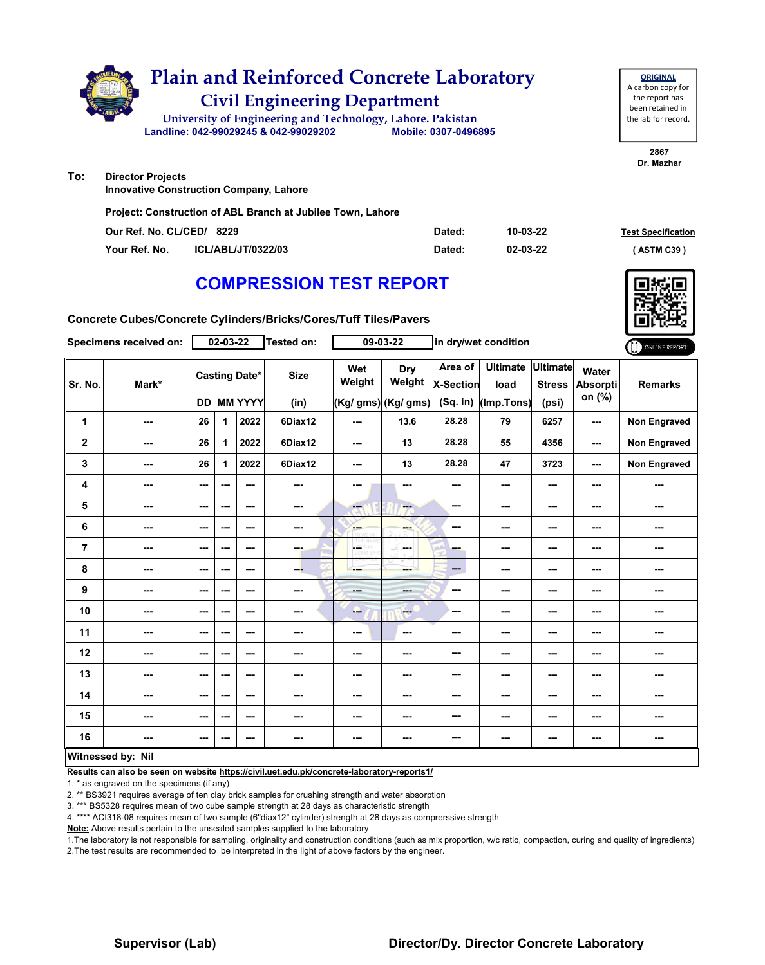

**Project: Construction of ABL Branch at Jubilee Town, Lahore**

| Our Ref. No. CL/CED/ 8229 |                    | Dated: | 10-03-22 | <b>Test Specification</b> |
|---------------------------|--------------------|--------|----------|---------------------------|
| Your Ref. No.             | ICL/ABL/JT/0322/03 | Dated: | 02-03-22 | ASTM C39 '                |

### **COMPRESSION TEST REPORT**

**Concrete Cubes/Concrete Cylinders/Bricks/Cores/Tuff Tiles/Pavers**

|                | Specimens received on:   |                          | $02 - 03 - 22$ |                                           | Tested on:          |                         | 09-03-22                             | in dry/wet condition                      |                                       |                                           | ONLINE REPORT                      |                     |
|----------------|--------------------------|--------------------------|----------------|-------------------------------------------|---------------------|-------------------------|--------------------------------------|-------------------------------------------|---------------------------------------|-------------------------------------------|------------------------------------|---------------------|
| Sr. No.        | Mark*                    |                          |                | <b>Casting Date*</b><br><b>DD MM YYYY</b> | <b>Size</b><br>(in) | Wet<br>Weight           | Dry<br>Weight<br>(Kg/ gms) (Kg/ gms) | Area of<br><b>X-Section</b><br>$(Sq.$ in) | <b>Ultimate</b><br>load<br>(Imp.Tons) | <b>Ultimate</b><br><b>Stress</b><br>(psi) | Water<br><b>Absorpti</b><br>on (%) | <b>Remarks</b>      |
| 1              | ---                      | 26                       | 1              | 2022                                      | 6Diax12             | ---                     | 13.6                                 | 28.28                                     | 79                                    | 6257                                      | ---                                | <b>Non Engraved</b> |
| $\mathbf 2$    | $\overline{\phantom{a}}$ | 26                       | 1              | 2022                                      | 6Diax12             | $--$                    | 13                                   | 28.28                                     | 55                                    | 4356                                      | ---                                | <b>Non Engraved</b> |
| 3              | ---                      | 26                       | 1              | 2022                                      | 6Diax12             | $--$                    | 13                                   | 28.28                                     | 47                                    | 3723                                      | ---                                | <b>Non Engraved</b> |
| 4              | ---                      | ---                      | ---            | ---                                       | ---                 | ---                     | $\overline{\phantom{a}}$             | ---                                       | ---                                   | ---                                       | ---                                | ---                 |
| 5              | $\overline{\phantom{a}}$ | $\overline{\phantom{a}}$ | ---            | $\sim$ $\sim$                             | $\sim$              | $\overline{\mathbf{x}}$ | $-$                                  | ---                                       | ---                                   | ---                                       | ---                                | ---                 |
| 6              | ---                      | $--$                     | ---            | ---                                       | ---                 | ene.<br>barars)         | ---                                  | ---                                       | ---                                   | ---                                       | ---                                | ---                 |
| $\overline{7}$ | ---                      | $\sim$ $\sim$            | ---            | $\sim$ $\sim$                             | ---                 | CE THY                  | la sua                               | ---                                       | ---                                   | ---                                       | ---                                | ---                 |
| 8              | $\overline{\phantom{a}}$ | $\overline{\phantom{a}}$ | ---            | $\sim$ $\sim$                             | --                  | ---                     | ---                                  | $\qquad \qquad \cdots$                    | ---                                   | $\overline{\phantom{a}}$                  | ---                                | ---                 |
| 9              | $\overline{\phantom{a}}$ | $--$                     | ---            | $\overline{\phantom{a}}$                  | $\sim$              | ---                     | ---                                  | ---                                       | ---                                   | ---                                       | ---                                | ---                 |
| 10             | ---                      | $\overline{\phantom{a}}$ | ---            | $\overline{\phantom{a}}$                  | ---                 | щ.                      | $-$                                  | ---                                       | ---                                   | ---                                       |                                    | ---                 |
| 11             | $\sim$                   | $\sim$                   | ---            | $- - -$                                   | $- - -$             | $--$                    | $\sim$ $\sim$                        | ---                                       | ---                                   | $\overline{\phantom{a}}$                  | ---                                | ---                 |
| 12             | $\overline{\phantom{a}}$ | $--$                     | ---            | $\sim$                                    | ---                 | ---                     | ---                                  | ---                                       | ---                                   | ---                                       | ---                                | ---                 |
| 13             | ---                      | $--$                     | ---            | ---                                       | ---                 | ---                     | ---                                  | ---                                       | ---                                   | ---                                       |                                    | ---                 |
| 14             | ---                      | $\sim$                   | ---            | $\overline{\phantom{a}}$                  | $\sim$              | ---                     | ---                                  | ---                                       | ---                                   | ---                                       | ---                                | ---                 |
| 15             | ---                      | $\overline{\phantom{a}}$ | ---            | $- - -$                                   | $\sim$              | ---                     | ---                                  | ---                                       | ---                                   | ---                                       | ---                                | ---                 |
| 16             | ---                      | $\sim$                   | ---            | $\sim$ $\sim$                             | $\sim$              | ---                     | ---                                  | ---                                       | ---                                   | $\overline{\phantom{a}}$                  | ---                                | ---                 |
|                | Witnessed by: Nil        |                          |                |                                           |                     |                         |                                      |                                           |                                       |                                           |                                    |                     |

#### **Witnessed by: Nil**

**Results can also be seen on website https://civil.uet.edu.pk/concrete-laboratory-reports1/**

1. \* as engraved on the specimens (if any)

2. \*\* BS3921 requires average of ten clay brick samples for crushing strength and water absorption

3. \*\*\* BS5328 requires mean of two cube sample strength at 28 days as characteristic strength

4. \*\*\*\* ACI318-08 requires mean of two sample (6"diax12" cylinder) strength at 28 days as comprerssive strength

**Note:** Above results pertain to the unsealed samples supplied to the laboratory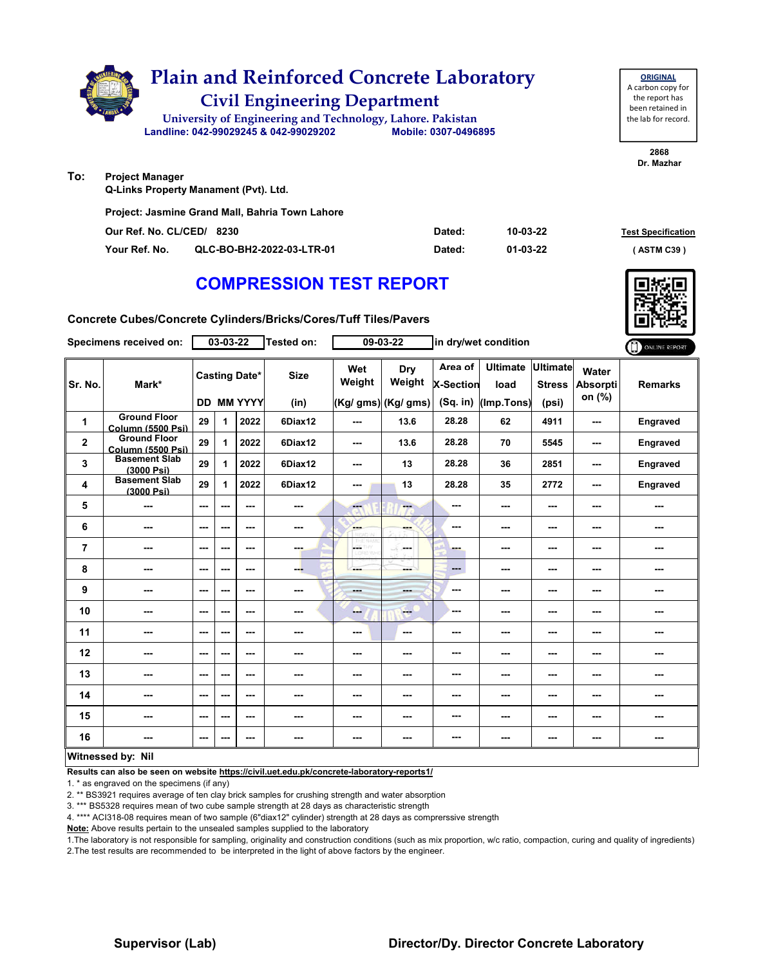|     | <b>Plain and Reinforced Concrete Laboratory</b><br><b>Civil Engineering Department</b><br>University of Engineering and Technology, Lahore. Pakistan<br>Landline: 042-99029245 & 042-99029202<br>Mobile: 0307-0496895 |          | <b>ORIGINAL</b><br>A carbon copy for<br>the report has<br>been retained in<br>the lab for record. |
|-----|-----------------------------------------------------------------------------------------------------------------------------------------------------------------------------------------------------------------------|----------|---------------------------------------------------------------------------------------------------|
|     |                                                                                                                                                                                                                       |          | 2868<br>Dr. Mazhar                                                                                |
| To: | <b>Project Manager</b>                                                                                                                                                                                                |          |                                                                                                   |
|     | Q-Links Property Manament (Pvt). Ltd.                                                                                                                                                                                 |          |                                                                                                   |
|     | Project: Jasmine Grand Mall, Bahria Town Lahore                                                                                                                                                                       |          |                                                                                                   |
|     | Our Ref. No. CL/CED/ 8230<br>Dated:                                                                                                                                                                                   | 10-03-22 | <b>Test Specification</b>                                                                         |

**Your Ref. No. QLC-BO-BH2-2022-03-LTR-01 Dated: ( ASTM C39 )**

**01-03-22**

### **COMPRESSION TEST REPORT**

**Concrete Cubes/Concrete Cylinders/Bricks/Cores/Tuff Tiles/Pavers**

| Specimens received on: |                                                 | 03-03-22               |     |                                           | Tested on:               |                       | 09-03-22                             | in dry/wet condition                      |                                       |                                           |                                    | ONLINE REPORT            |
|------------------------|-------------------------------------------------|------------------------|-----|-------------------------------------------|--------------------------|-----------------------|--------------------------------------|-------------------------------------------|---------------------------------------|-------------------------------------------|------------------------------------|--------------------------|
| Sr. No.                | Mark*                                           |                        |     | <b>Casting Date*</b><br><b>DD MM YYYY</b> | <b>Size</b><br>(in)      | Wet<br>Weight         | Dry<br>Weight<br>(Kg/ gms) (Kg/ gms) | Area of<br><b>X-Section</b><br>$(Sq.$ in) | <b>Ultimate</b><br>load<br>(Imp.Tons) | <b>Ultimate</b><br><b>Stress</b><br>(psi) | Water<br><b>Absorpti</b><br>on (%) | <b>Remarks</b>           |
| 1                      | <b>Ground Floor</b><br>Column (5500 Psi)        | 29                     | 1   | 2022                                      | 6Diax12                  | ---                   | 13.6                                 | 28.28                                     | 62                                    | 4911                                      | ---                                | Engraved                 |
| $\mathbf 2$            | <b>Ground Floor</b><br><b>Column (5500 Psi)</b> | 29                     | 1   | 2022                                      | 6Diax12                  | $--$                  | 13.6                                 | 28.28                                     | 70                                    | 5545                                      | ---                                | Engraved                 |
| 3                      | <b>Basement Slab</b><br>(3000 Psi)              | 29                     | 1   | 2022                                      | 6Diax12                  | ---                   | 13                                   | 28.28                                     | 36                                    | 2851                                      | ---                                | <b>Engraved</b>          |
| 4                      | <b>Basement Slab</b><br>(3000 Psi)              | 29                     | 1   | 2022                                      | 6Diax12                  | $--$                  | 13                                   | 28.28                                     | 35                                    | 2772                                      | ---                                | Engraved                 |
| 5                      | ---                                             | $\qquad \qquad \cdots$ | --- | $\overline{\phantom{a}}$                  | ---                      | ---                   | ---                                  | ---                                       | ---                                   | ---                                       | ---                                | ---                      |
| 6                      | $\sim$ $\sim$                                   | $- - -$                | --- | ---                                       | $- - -$                  | ---<br>stranija       | ---                                  | ---                                       | ---                                   | ---                                       | ---                                | ---                      |
| 7                      | ---                                             | $\sim$ $\sim$          | --- | $\overline{\phantom{a}}$                  | ---                      | $\frac{C_1^2}{C_2^2}$ | ---                                  | ---                                       | ---                                   | ---                                       | ---                                | ---                      |
| 8                      | ---                                             | $\sim$ $\sim$          | --- | $\overline{\phantom{a}}$                  | ---                      | ---                   | mente di                             | ---                                       | ---                                   | ---                                       | ---                                | ---                      |
| 9                      | ---                                             | $\sim$ $\sim$          | --- | ---                                       | $\overline{\phantom{a}}$ | ---                   | ---                                  | ---                                       | ---                                   | ---                                       | ---                                | ---                      |
| 10                     | ---                                             | $\sim$ $\sim$          | --- | ---                                       | ---                      | --                    | $-1$                                 | ---                                       | ---                                   | ---                                       | ---                                | ---                      |
| 11                     | ---                                             | $\sim$                 | --- | ---                                       | ---                      | ---                   | $\sim$                               | ---                                       | ---                                   | ---                                       | ---                                | ---                      |
| 12                     | $- - -$                                         | $\sim$ $\sim$          | --- | $- - -$                                   | ---                      | ---                   | ---                                  | ---                                       | ---                                   | ---                                       | ---                                | ---                      |
| 13                     | ---                                             | $\sim$ $\sim$          | --- | ---                                       | ---                      | ---                   | ---                                  | ---                                       | ---                                   | ---                                       | ---                                | ---                      |
| 14                     | ---                                             | $\sim$ $\sim$          | --- | $\overline{\phantom{a}}$                  | $\overline{\phantom{a}}$ | ---                   | ---                                  | ---                                       | ---                                   | ---                                       | ---                                | ---                      |
| 15                     | ---                                             | $\sim$                 | --- | ---                                       | ---                      | ---                   | ---                                  | ---                                       | ---                                   | ---                                       | ---                                | ---                      |
| 16                     | ---                                             | $\sim$ $\sim$          | --- | $\overline{\phantom{a}}$                  | $\sim$                   | $--$                  | $\cdots$                             | ---                                       | ---                                   | ---                                       | ---                                | $\overline{\phantom{a}}$ |
|                        | Witnessed by: Nil                               |                        |     |                                           |                          |                       |                                      |                                           |                                       |                                           |                                    |                          |

#### **Witnessed by: Nil**

**Results can also be seen on website https://civil.uet.edu.pk/concrete-laboratory-reports1/**

1. \* as engraved on the specimens (if any)

2. \*\* BS3921 requires average of ten clay brick samples for crushing strength and water absorption

3. \*\*\* BS5328 requires mean of two cube sample strength at 28 days as characteristic strength

4. \*\*\*\* ACI318-08 requires mean of two sample (6"diax12" cylinder) strength at 28 days as comprerssive strength

**Note:** Above results pertain to the unsealed samples supplied to the laboratory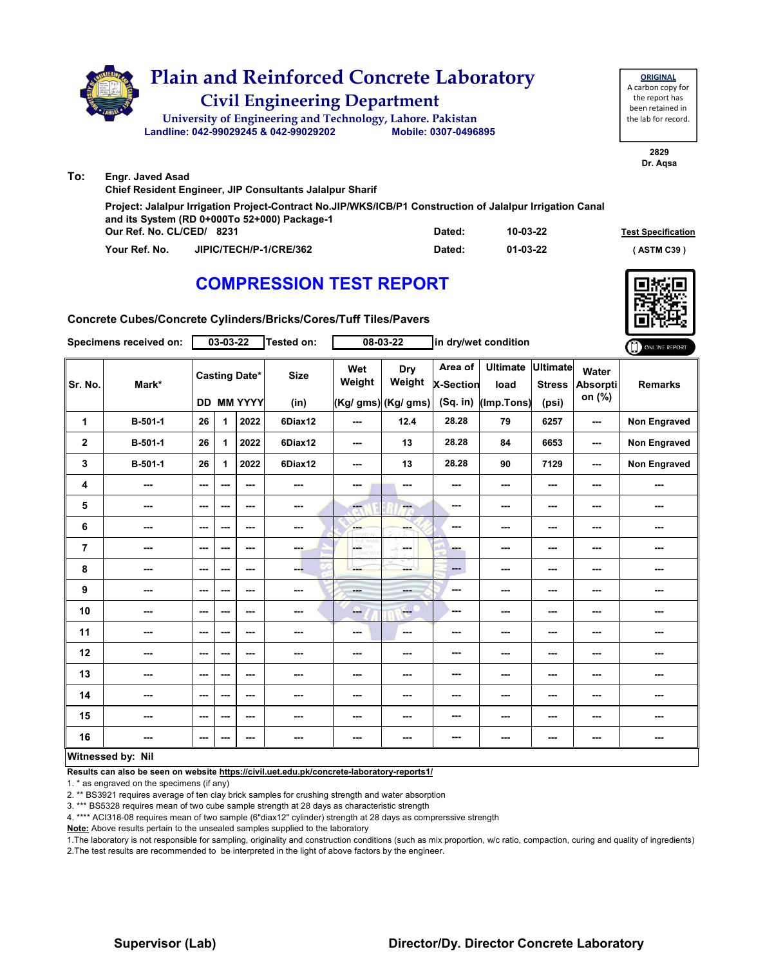|     | <b>Plain and Reinforced Concrete Laboratory</b><br><b>Civil Engineering Department</b><br>University of Engineering and Technology, Lahore. Pakistan<br>Landline: 042-99029245 & 042-99029202 | Mobile: 0307-0496895 |          | <b>ORIGINAL</b><br>A carbon copy for<br>the report has<br>been retained in<br>the lab for record. |
|-----|-----------------------------------------------------------------------------------------------------------------------------------------------------------------------------------------------|----------------------|----------|---------------------------------------------------------------------------------------------------|
|     |                                                                                                                                                                                               |                      |          | 2829<br>Dr. Agsa                                                                                  |
| To: | <b>Engr. Javed Asad</b><br>Chief Resident Engineer, JIP Consultants Jalalpur Sharif                                                                                                           |                      |          |                                                                                                   |
|     | Project: Jalalpur Irrigation Project-Contract No.JIP/WKS/ICB/P1 Construction of Jalalpur Irrigation Canal<br>and its System (RD 0+000To 52+000) Package-1<br>Our Ref. No. CL/CED/ 8231        | Dated:               | 10-03-22 | <b>Test Specification</b>                                                                         |

**Our Ref. No. CL/CED/ Dated: Test Specification 8231 Your Ref. No. JIPIC/TECH/P-1/CRE/362 Dated: ( ASTM C39 )**

**01-03-22**

## **COMPRESSION TEST REPORT**

**Concrete Cubes/Concrete Cylinders/Bricks/Cores/Tuff Tiles/Pavers**

|                | Specimens received on:   |                          | $03 - 03 - 22$ |                                    | Tested on:          |                           | $08 - 03 - 22$                        | in dry/wet condition               |                                       | ONLINE REPORT                             |                                    |                     |
|----------------|--------------------------|--------------------------|----------------|------------------------------------|---------------------|---------------------------|---------------------------------------|------------------------------------|---------------------------------------|-------------------------------------------|------------------------------------|---------------------|
| Sr. No.        | Mark*                    |                          |                | <b>Casting Date*</b><br>DD MM YYYY | <b>Size</b><br>(in) | Wet<br>Weight             | Dry<br>Weight<br>$(Kg/gms)$ (Kg/ gms) | Area of<br>X-Section<br>$(Sq.$ in) | <b>Ultimate</b><br>load<br>(Imp.Tons) | <b>Ultimate</b><br><b>Stress</b><br>(psi) | Water<br><b>Absorpti</b><br>on (%) | <b>Remarks</b>      |
| 1              | B-501-1                  | 26                       | 1.             | 2022                               | 6Diax12             | $\sim$                    | 12.4                                  | 28.28                              | 79                                    | 6257                                      | ---                                | Non Engraved        |
| $\mathbf{2}$   | B-501-1                  | 26                       | 1              | 2022                               | 6Diax12             | $\qquad \qquad \cdots$    | 13                                    | 28.28                              | 84                                    | 6653                                      | $\sim$ $\sim$                      | <b>Non Engraved</b> |
| 3              | B-501-1                  | 26                       | 1              | 2022                               | 6Diax12             | $\sim$ $\sim$             | 13                                    | 28.28                              | 90                                    | 7129                                      | $\sim$ $\sim$                      | Non Engraved        |
| 4              | ---                      | $\sim$                   | ---            | ---                                | ---                 | ---                       | $\overline{\phantom{a}}$              | ---                                | $\sim$ $\sim$                         | ---                                       | ---                                | ---                 |
| 5              | $\overline{\phantom{a}}$ | $\sim$ $\sim$            | ---            | ---                                | ---                 | $\overline{\mathbf{a}}$   | ---                                   | $\qquad \qquad \cdots$             | $\sim$ $\sim$                         | ---                                       | ---                                | ---                 |
| 6              | $\cdots$                 | $\sim$                   | ---            | ---                                | ---                 | <b>SHOP</b>               | ---                                   | $\cdots$                           | ---                                   | ---                                       | ---                                | ---                 |
| $\overline{7}$ | ---                      | $\overline{\phantom{a}}$ | ---            | ---                                | ---                 | <b>LOE</b> THY<br>TORO YO | mana.                                 | <b>STAR</b>                        | ---                                   | ---                                       | ---                                | ---                 |
| 8              | $\overline{\phantom{a}}$ | $\sim$                   | ---            | ---                                | --5                 | ---                       | ---                                   | $\qquad \qquad \cdots$             | $\sim$ $\sim$                         | ---                                       | ---                                | ---                 |
| 9              | ---                      | $\sim$                   | ---            | ---                                | ---                 | mente.                    | <b>AND</b>                            | $--$                               | $\sim$ $\sim$                         | ---                                       | ---                                | ---                 |
| 10             | ---                      | $\overline{\phantom{a}}$ | ---            | ---                                | ---                 | ---                       | ---                                   | ---                                | ---                                   | ---                                       | ---                                | ---                 |
| 11             | $\overline{\phantom{a}}$ | $\sim$                   | ---            | ---                                | ---                 | $\sim$ $\sim$             | ---                                   | $\overline{\phantom{a}}$           | $\sim$ $\sim$                         | ---                                       | ---                                | ---                 |
| 12             | $\qquad \qquad \cdots$   | $\sim$                   | ---            | ---                                | ---                 | ---                       | ---                                   | ---                                | ---                                   | ---                                       | ---                                | ---                 |
| 13             | ---                      | $\overline{\phantom{a}}$ | ---            | ---                                | ---                 | ---                       | ---                                   | ---                                | ---                                   | ---                                       | ---                                | ---                 |
| 14             | ---                      | ---                      | ---            | ---                                |                     | ---                       | ---                                   | $\sim$                             | ---                                   | ---                                       | ---                                | ---                 |
| 15             | ---                      | $\sim$ $\sim$            | ---            | ---                                | ---                 | ---                       | ---                                   | ---                                | $- - -$                               | ---                                       | ---                                | ---                 |
| 16             | ---                      | $\sim$ $\sim$            | ---            | ---                                | ---                 | ---                       | ---                                   | ---                                | $\sim$                                | ---                                       | ---                                | ---                 |
|                | Witnessed by: Nil        |                          |                |                                    |                     |                           |                                       |                                    |                                       |                                           |                                    |                     |

#### **Witnessed by: Nil**

**Results can also be seen on website https://civil.uet.edu.pk/concrete-laboratory-reports1/**

1. \* as engraved on the specimens (if any)

2. \*\* BS3921 requires average of ten clay brick samples for crushing strength and water absorption

3. \*\*\* BS5328 requires mean of two cube sample strength at 28 days as characteristic strength

4. \*\*\*\* ACI318-08 requires mean of two sample (6"diax12" cylinder) strength at 28 days as comprerssive strength

**Note:** Above results pertain to the unsealed samples supplied to the laboratory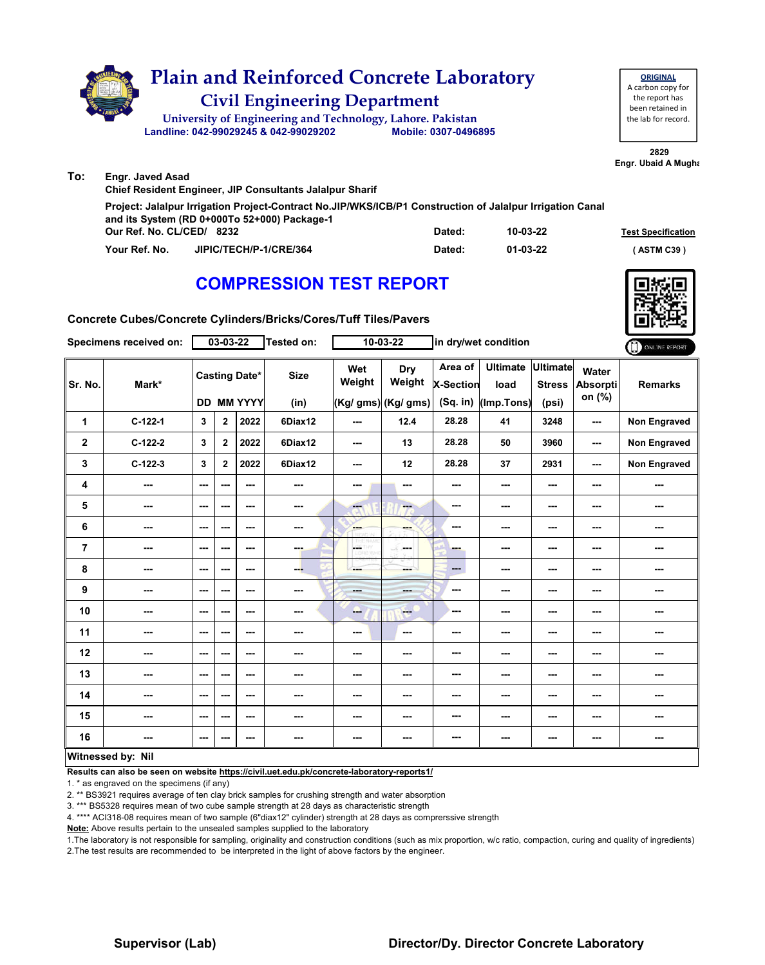

| Project: Jalalpur Irrigation Project-Contract No.JIP/WKS/ICB/P1 Construction of Jalalpur Irrigation Canal |        |                |                           |
|-----------------------------------------------------------------------------------------------------------|--------|----------------|---------------------------|
| and its System (RD 0+000To 52+000) Package-1                                                              |        |                |                           |
| Our Ref. No. CL/CED/ 8232                                                                                 | Dated: | $10 - 03 - 22$ | <b>Test Specification</b> |
| JIPIC/TECH/P-1/CRE/364<br>Your Ref. No.                                                                   | Dated: | 01-03-22       | (ASTM C39)                |

### **COMPRESSION TEST REPORT**



**Concrete Cubes/Concrete Cylinders/Bricks/Cores/Tuff Tiles/Pavers**

|                | Specimens received on: |                          | 03-03-22                |                                    | <b>Tested on:</b>   |                          | $10 - 03 - 22$                       | in dry/wet condition             |                                       |                                           | ONLINE REPORT                      |                     |
|----------------|------------------------|--------------------------|-------------------------|------------------------------------|---------------------|--------------------------|--------------------------------------|----------------------------------|---------------------------------------|-------------------------------------------|------------------------------------|---------------------|
| Sr. No.        | Mark*                  |                          |                         | <b>Casting Date*</b><br>DD MM YYYY | <b>Size</b><br>(in) | Wet<br>Weight            | Dry<br>Weight<br>(Kg/ gms) (Kg/ gms) | Area of<br>X-Section<br>(Sq. in) | <b>Ultimate</b><br>load<br>(Imp.Tons) | <b>Ultimate</b><br><b>Stress</b><br>(psi) | Water<br><b>Absorpti</b><br>on (%) | <b>Remarks</b>      |
| 1              | $C-122-1$              | 3                        | $\mathbf 2$             | 2022                               | 6Diax12             | $\sim$ $\sim$            | 12.4                                 | 28.28                            | 41                                    | 3248                                      | ---                                | <b>Non Engraved</b> |
| $\mathbf 2$    | C-122-2                | 3                        | $\overline{\mathbf{2}}$ | 2022                               | 6Diax12             | $\overline{\phantom{a}}$ | 13                                   | 28.28                            | 50                                    | 3960                                      | $\sim$                             | Non Engraved        |
| 3              | $C-122-3$              | 3                        | $\mathbf{2}$            | 2022                               | 6Diax12             | $-$                      | 12                                   | 28.28                            | 37                                    | 2931                                      | ---                                | Non Engraved        |
| 4              | ---                    | $\sim$ $\sim$            | ---                     | ---                                | ---                 | $\overline{\phantom{a}}$ | ---                                  | ---                              | ---                                   | $\overline{\phantom{a}}$                  | ---                                | ---                 |
| 5              | ---                    | ---                      | ---                     | $\sim$                             | ---                 | <b>Fee</b>               | ---                                  | ---                              | ---                                   | $\overline{\phantom{a}}$                  | ---                                | ---                 |
| 6              | ---                    | ---                      | ---                     | ---                                | ---                 | <b>Albert</b>            | ---                                  | ---                              | ---                                   | ---                                       | ---                                | ---                 |
| $\overline{7}$ | ---                    | $\overline{\phantom{a}}$ | ---                     | ---                                | ---                 | <b>CETHY</b><br>LORD WHI | -F.<br><b>Service</b>                | ---                              | ---                                   | ---                                       | ---                                | ---                 |
| 8              | ---                    | $- - -$                  | ---                     | $\overline{\phantom{a}}$           | ---                 | ---                      | ---                                  | ---                              | ---                                   | ---                                       | ---                                | ---                 |
| 9              | ---                    | $- - -$                  | ---                     | $\sim$ $\sim$                      | ---                 | <b>Basic</b>             | ---                                  | ---                              | ---                                   | ---                                       | ---                                | ---                 |
| 10             | ---                    | $\overline{\phantom{a}}$ | ---                     | ---                                | ---                 | -                        | ---                                  | ---                              | ---                                   | ---                                       | ---                                | ---                 |
| 11             | ---                    | $\overline{\phantom{a}}$ | ---                     | ---                                | ---                 | ---                      | ---                                  | ---                              | ---                                   | $--$                                      | ---                                | ---                 |
| 12             | ---                    | ---                      | ---                     | ---                                | ---                 | ---                      | ---                                  | ---                              | ---                                   | ---                                       | ---                                | ---                 |
| 13             | ---                    | ---                      | ---                     | ---                                | ---                 | ---                      | ---                                  | ---                              | ---                                   | ---                                       | ---                                |                     |
| 14             | ---                    | $- - -$                  | ---                     | ---                                | ---                 | $\sim$ $\sim$            | ---                                  | ---                              | $- - -$                               | ---                                       | $\sim$ $\sim$                      | ---                 |
| 15             | ---                    | $\overline{\phantom{a}}$ | ---                     | ---                                | ---                 | ---                      | ---                                  | ---                              | ---                                   | ---                                       | ---                                | ---                 |
| 16             | ---                    | $\sim$ $\sim$            | ---                     | ---                                | ---                 | ---                      | ---                                  | ---                              | ---                                   | ---                                       | $\overline{\phantom{a}}$           |                     |
|                | Witnessed by: Nil      |                          |                         |                                    |                     |                          |                                      |                                  |                                       |                                           |                                    |                     |

#### **Witnessed by: Nil**

**Results can also be seen on website https://civil.uet.edu.pk/concrete-laboratory-reports1/**

1. \* as engraved on the specimens (if any)

2. \*\* BS3921 requires average of ten clay brick samples for crushing strength and water absorption

3. \*\*\* BS5328 requires mean of two cube sample strength at 28 days as characteristic strength

4. \*\*\*\* ACI318-08 requires mean of two sample (6"diax12" cylinder) strength at 28 days as comprerssive strength

**Note:** Above results pertain to the unsealed samples supplied to the laboratory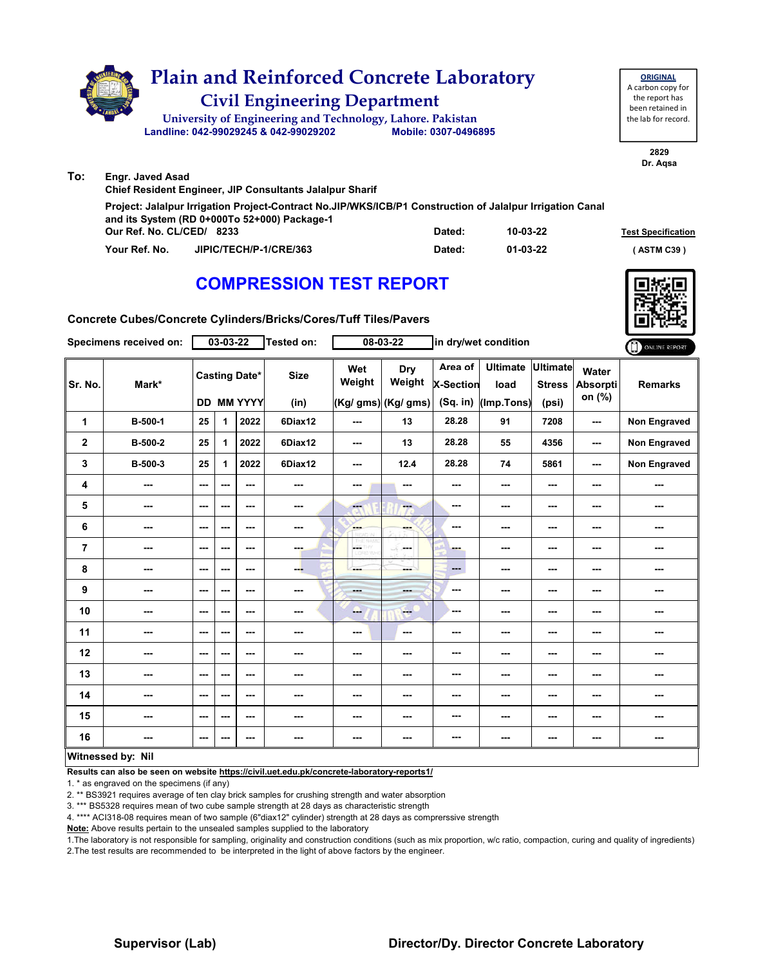|     | <b>Plain and Reinforced Concrete Laboratory</b><br><b>Civil Engineering Department</b><br>University of Engineering and Technology, Lahore. Pakistan<br>Landline: 042-99029245 & 042-99029202 | Mobile: 0307-0496895 |          | <b>ORIGINAL</b><br>A carbon copy for<br>the report has<br>been retained in<br>the lab for record. |
|-----|-----------------------------------------------------------------------------------------------------------------------------------------------------------------------------------------------|----------------------|----------|---------------------------------------------------------------------------------------------------|
|     |                                                                                                                                                                                               |                      |          | 2829<br>Dr. Agsa                                                                                  |
| To: | <b>Engr. Javed Asad</b><br><b>Chief Resident Engineer, JIP Consultants Jalalpur Sharif</b>                                                                                                    |                      |          |                                                                                                   |
|     | Project: Jalalpur Irrigation Project-Contract No.JIP/WKS/ICB/P1 Construction of Jalalpur Irrigation Canal<br>and its System (RD 0+000To 52+000) Package-1<br>Our Ref. No. CL/CED/ 8233        | Dated:               | 10-03-22 | <b>Test Specificatio</b>                                                                          |

**Our Ref. No. CL/CED/ Dated: Test Specification 8233 Your Ref. No. JIPIC/TECH/P-1/CRE/363 Dated: ( ASTM C39 )**

**01-03-22**

# **COMPRESSION TEST REPORT**

|                         | Specimens received on: |           | $03 - 03 - 22$ |                                        | <b>Tested on:</b>   |               | $08 - 03 - 22$                       |                                           | in dry/wet condition                  |                                           |                             | ONLINE REPORT  |
|-------------------------|------------------------|-----------|----------------|----------------------------------------|---------------------|---------------|--------------------------------------|-------------------------------------------|---------------------------------------|-------------------------------------------|-----------------------------|----------------|
| Sr. No.                 | Mark*                  | <b>DD</b> |                | <b>Casting Date*</b><br><b>MM YYYY</b> | <b>Size</b><br>(in) | Wet<br>Weight | Dry<br>Weight<br>(Kg/ gms) (Kg/ gms) | Area of<br><b>X-Section</b><br>$(Sq.$ in) | <b>Ultimate</b><br>load<br>(Imp.Tons) | <b>Ultimate</b><br><b>Stress</b><br>(psi) | Water<br>Absorpti<br>on (%) | <b>Remarks</b> |
| 1                       | B-500-1                | 25        | 1              | 2022                                   | 6Diax12             | ---           | 13                                   | 28.28                                     | 91                                    | 7208                                      | ---                         | Non Engraved   |
| $\mathbf 2$             | B-500-2                | 25        | 1              | 2022                                   | 6Diax12             | $\sim$        | 13                                   | 28.28                                     | 55                                    | 4356                                      | ---                         | Non Engraved   |
| 3                       | B-500-3                | 25        | 1              | 2022                                   | 6Diax12             | $--$          | 12.4                                 | 28.28                                     | 74                                    | 5861                                      | $\overline{\phantom{a}}$    | Non Engraved   |
| 4                       | ---                    | ---       | ---            | ---                                    |                     | ---           | ---                                  | ---                                       | $\overline{\phantom{a}}$              | ---                                       | ---                         | ---            |
| 5                       | ---                    | ---       | ---            | ---                                    | ---                 | $- - -$       | ---                                  | $\sim$                                    | ---                                   | ---                                       | ---                         | ---            |
| 6                       | ---                    | ---       | ---            | ---                                    | ---                 | <b>Barnet</b> | ---                                  | $\sim$                                    | ---                                   | ---                                       | ---                         | ---            |
| $\overline{\mathbf{r}}$ | ---                    | ---       | ---            | ---                                    | ---                 | LGST          | ---                                  | ---                                       | ---                                   | ---                                       | $\sim$                      | ---            |
| 8                       | ---                    | ---       | $\sim$ $\sim$  | $--$                                   | ---                 | ---           | ---                                  | $\qquad \qquad \cdots$                    | ---                                   | ---                                       | ---                         | ---            |
| 9                       | ---                    | $\sim$    | $\sim$ $\sim$  | ---                                    | ---                 | <b>House</b>  | ---                                  | $\overline{\phantom{a}}$                  | $- - -$                               | ---                                       | ---                         | ---            |
| 10                      | ---                    | ---       | ---            | $--$                                   | ---                 | ---           | <b>FOR</b>                           | ---                                       | ---                                   | ---                                       | ---                         | ---            |
| 11                      | ---                    | ---       | ---            | ---                                    | ---                 | $--$          | ---                                  | ---                                       | ---                                   | ---                                       | ---                         | ---            |
| 12                      | ---                    | ---       | ---            | ---                                    | ---                 | $--$          | ---                                  | ---                                       | ---                                   | ---                                       | ---                         | ---            |
| 13                      | ---                    | ---       | $\sim$ $\sim$  | ---                                    |                     | ---           | ---                                  | ---                                       | ---                                   | ---                                       | ---                         | ---            |
| 14                      | ---                    | ---       | ---            | ---                                    | ---                 | ---           | ---                                  | ---                                       | ---                                   | ---                                       | ---                         | ---            |
| 15                      | ---                    | ---       | ---            | ---                                    | ---                 | ---           | ---                                  | ---                                       | ---                                   | ---                                       | ---                         | ---            |
| 16                      | ---                    | ---       | $\sim$         | ---                                    | ---                 | ---           | ---                                  | ---                                       | ---                                   | ---                                       | ---                         | ---            |
|                         | Witnoccod by: Nil      |           |                |                                        |                     |               |                                      |                                           |                                       |                                           |                             |                |

#### **Witnessed by: Nil**

**Results can also be seen on website https://civil.uet.edu.pk/concrete-laboratory-reports1/**

1. \* as engraved on the specimens (if any)

2. \*\* BS3921 requires average of ten clay brick samples for crushing strength and water absorption

3. \*\*\* BS5328 requires mean of two cube sample strength at 28 days as characteristic strength

4. \*\*\*\* ACI318-08 requires mean of two sample (6"diax12" cylinder) strength at 28 days as comprerssive strength

**Note:** Above results pertain to the unsealed samples supplied to the laboratory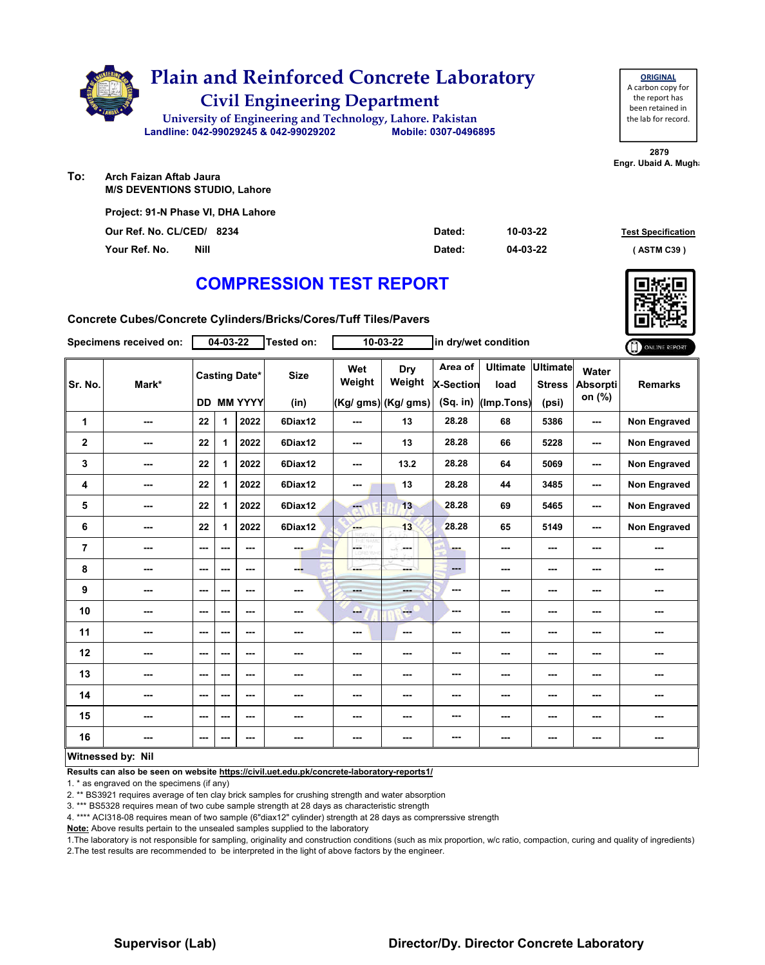

| <b>ORIGINAL</b>     |
|---------------------|
| A carbon copy for   |
| the report has      |
| been retained in    |
| the lab for record. |
|                     |

**2879 Engr. Ubaid A. Mugha** 

**To: Arch Faizan Aftab Jaura M/S DEVENTIONS STUDIO, Lahore**

| Project: 91-N Phase VI, DHA Lahore |      |        |          |                           |  |  |  |  |  |  |
|------------------------------------|------|--------|----------|---------------------------|--|--|--|--|--|--|
| Our Ref. No. CL/CED/ 8234          |      | Dated: | 10-03-22 | <b>Test Specification</b> |  |  |  |  |  |  |
| Your Ref. No.                      | Nill | Dated: | 04-03-22 | (ASTM C39)                |  |  |  |  |  |  |

### **COMPRESSION TEST REPORT**

**Concrete Cubes/Concrete Cylinders/Bricks/Cores/Tuff Tiles/Pavers**

|                | Specimens received on: |      | $04 - 03 - 22$ |                                           | Tested on:          |               | $10 - 03 - 22$                       |                                  | in dry/wet condition                  |                                           |                                    | ONLINE REPORT       |
|----------------|------------------------|------|----------------|-------------------------------------------|---------------------|---------------|--------------------------------------|----------------------------------|---------------------------------------|-------------------------------------------|------------------------------------|---------------------|
| Sr. No.        | Mark*                  |      |                | <b>Casting Date*</b><br><b>DD MM YYYY</b> | <b>Size</b><br>(in) | Wet<br>Weight | Dry<br>Weight<br>(Kg/ gms) (Kg/ gms) | Area of<br>X-Section<br>(Sq. in) | <b>Ultimate</b><br>load<br>(Imp.Tons) | <b>Ultimate</b><br><b>Stress</b><br>(psi) | Water<br><b>Absorpti</b><br>on (%) | <b>Remarks</b>      |
| 1              | ---                    | 22   | 1.             | 2022                                      | 6Diax12             | ---           | 13                                   | 28.28                            | 68                                    | 5386                                      | ---                                | <b>Non Engraved</b> |
| $\mathbf 2$    | ---                    | 22   | 1              | 2022                                      | 6Diax12             | ---           | 13                                   | 28.28                            | 66                                    | 5228                                      | ---                                | Non Engraved        |
| 3              | ---                    | 22   | 1              | 2022                                      | 6Diax12             | ---           | 13.2                                 | 28.28                            | 64                                    | 5069                                      | ---                                | <b>Non Engraved</b> |
| 4              | ---                    | 22   | 1              | 2022                                      | 6Diax12             | ---           | 13                                   | 28.28                            | 44                                    | 3485                                      | ---                                | <b>Non Engraved</b> |
| 5              | ---                    | 22   | 1              | 2022                                      | 6Diax12             | ---           | 13                                   | 28.28                            | 69                                    | 5465                                      | ---                                | <b>Non Engraved</b> |
| 6              | ---                    | 22   | 1              | 2022                                      | 6Diax12             | <b>Albert</b> | 13                                   | 28.28                            | 65                                    | 5149                                      | ---                                | Non Engraved        |
| $\overline{7}$ | ---                    | ---  | ---            | $- - -$                                   | ---                 | LGC.          | and a                                | ---                              | ---                                   | $- - -$                                   | ---                                | ---                 |
| 8              | ---                    | ---  | ---            | $--$                                      | --                  | ---           | ---                                  | $\qquad \qquad \cdots$           | ---                                   | ---                                       | ---                                | ---                 |
| 9              | ---                    | $--$ | ---            | $--$                                      | ---                 | ---           | <b>SHOP</b>                          | ---                              | ---                                   | ---                                       | ---                                | ---                 |
| 10             | ---                    | ---  | ---            | ---                                       | ---                 | --            | <b>FOR</b>                           | ---                              | ---                                   | ---                                       | ---                                | ---                 |
| 11             | ---                    | $--$ | ---            | ---                                       | ---                 | ---           | $\sim$                               | ---                              | ---                                   | ---                                       | ---                                | ---                 |
| 12             | ---                    | $--$ | ---            | $--$                                      | ---                 | ---           | ---                                  | ---                              | ---                                   | ---                                       | ---                                |                     |
| 13             | ---                    | ---  | ---            | ---                                       | ---                 | ---           | ---                                  | ---                              | ---                                   | ---                                       | ---                                | ---                 |
| 14             | ---                    | ---  | ---            | $- - -$                                   | ---                 | ---           | ---                                  | ---                              | ---                                   | ---                                       | ---                                | ---                 |
| 15             | ---                    | ---  | ---            | $--$                                      | ---                 | ---           | ---                                  | ---                              | ---                                   | ---                                       | ---                                | ---                 |
| 16             | ---                    | ---  | ---            | ---                                       | ---                 | ---           | ---                                  | ---                              | ---                                   | $--$                                      | ---                                | ---                 |
|                | Witnessed by: Nil      |      |                |                                           |                     |               |                                      |                                  |                                       |                                           |                                    |                     |

**Results can also be seen on website https://civil.uet.edu.pk/concrete-laboratory-reports1/**

1. \* as engraved on the specimens (if any)

2. \*\* BS3921 requires average of ten clay brick samples for crushing strength and water absorption

3. \*\*\* BS5328 requires mean of two cube sample strength at 28 days as characteristic strength

4. \*\*\*\* ACI318-08 requires mean of two sample (6"diax12" cylinder) strength at 28 days as comprerssive strength

**Note:** Above results pertain to the unsealed samples supplied to the laboratory

1.The laboratory is not responsible for sampling, originality and construction conditions (such as mix proportion, w/c ratio, compaction, curing and quality of ingredients) 2.The test results are recommended to be interpreted in the light of above factors by the engineer.

### **Supervisor (Lab) Director/Dy. Director Concrete Laboratory**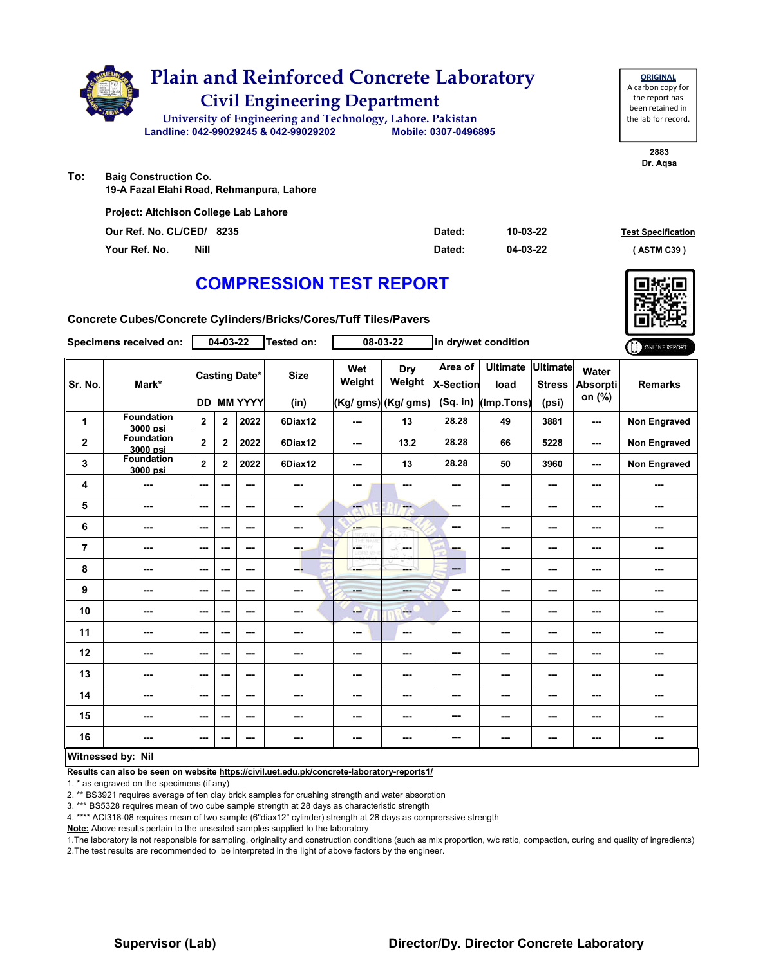

**19-A Fazal Elahi Road, Rehmanpura, Lahore**

| <b>Project: Aitchison College Lab Lahore</b> |        |          |                           |
|----------------------------------------------|--------|----------|---------------------------|
| Our Ref. No. CL/CED/ 8235                    | Dated: | 10-03-22 | <b>Test Specification</b> |
| Nill<br>Your Ref. No.                        | Dated: | 04-03-22 | (ASTM C39)                |

### **COMPRESSION TEST REPORT**

**Concrete Cubes/Concrete Cylinders/Bricks/Cores/Tuff Tiles/Pavers**

|                   | Specimens received on:        |                          | $04 - 03 - 22$           |                                        | Tested on:          |                     | 08-03-22                                    |                                         | in dry/wet condition                  |                                           |                                    | ONLINE REPORT       |
|-------------------|-------------------------------|--------------------------|--------------------------|----------------------------------------|---------------------|---------------------|---------------------------------------------|-----------------------------------------|---------------------------------------|-------------------------------------------|------------------------------------|---------------------|
| Sr. No.           | Mark*                         | DD.                      |                          | <b>Casting Date*</b><br><b>MM YYYY</b> | <b>Size</b><br>(in) | Wet<br>Weight       | <b>Dry</b><br>Weight<br>(Kg/ gms) (Kg/ gms) | Area of<br><b>X-Section</b><br>(Sq. in) | <b>Ultimate</b><br>load<br>(Imp.Tons) | <b>Ultimate</b><br><b>Stress</b><br>(psi) | Water<br><b>Absorpti</b><br>on (%) | <b>Remarks</b>      |
| 1                 | <b>Foundation</b><br>3000 psi | $\overline{2}$           | $\overline{2}$           | 2022                                   | 6Diax12             | ---                 | 13                                          | 28.28                                   | 49                                    | 3881                                      | ---                                | <b>Non Engraved</b> |
| $\mathbf 2$       | <b>Foundation</b><br>3000 psi | $\mathbf{2}$             | $\mathbf{2}$             | 2022                                   | 6Diax12             | $--$                | 13.2                                        | 28.28                                   | 66                                    | 5228                                      | ---                                | <b>Non Engraved</b> |
| 3                 | <b>Foundation</b><br>3000 psi | $\mathbf{2}$             | $\mathbf{2}$             | 2022                                   | 6Diax12             | ---                 | 13                                          | 28.28                                   | 50                                    | 3960                                      | ---                                | Non Engraved        |
| 4                 | ---                           | ---                      | ---                      | ---                                    | ---                 | ---                 | $\sim$ $\sim$                               | ---                                     | ---                                   | ---                                       | ---                                | ---                 |
| 5                 | ---                           | ---                      | ---                      | ---                                    | ---                 | $\overline{\alpha}$ | ---                                         | ---                                     | ---                                   | ---                                       |                                    | ---                 |
| 6                 | ---                           | $\overline{\phantom{a}}$ | ---                      | ---                                    | ---                 | ---                 | ---                                         | ---                                     | ---                                   | ---                                       | ---                                | ---                 |
| $\overline{7}$    | ---                           | ---                      | ---                      | $--$                                   | ---                 | <b>OF</b> THY       | <b>Security</b>                             | ---                                     | ---                                   | ---                                       |                                    | ---                 |
| 8                 | ---                           | ---                      | $\overline{\phantom{a}}$ | ---                                    | ---                 | ---                 | ---                                         | ---                                     | ---                                   | ---                                       | ---                                | ---                 |
| 9                 | ---                           | ---                      | $\overline{\phantom{a}}$ | $--$                                   | ---                 | ---                 | ---                                         | ---                                     | ---                                   | ---                                       | ---                                | ---                 |
| 10                | ---                           | ---                      | ---                      | ---                                    | ---                 | --                  | $-$                                         | ---                                     | ---                                   | ---                                       |                                    | ---                 |
| 11                | ---                           | ---                      | ---                      | ---                                    | ---                 | ---                 | $\overline{\phantom{a}}$                    | ---                                     | ---                                   | ---                                       | ---                                | ---                 |
| 12                | ---                           | $\sim$ $\sim$            | ---                      | ---                                    | ---                 | ---                 | ---                                         | ---                                     | ---                                   | ---                                       | ---                                | ---                 |
| 13                | ---                           | ---                      | ---                      | ---                                    | ---                 | ---                 | ---                                         | ---                                     | ---                                   | ---                                       | ---                                | ---                 |
| 14                | ---                           | ---                      | ---                      | $--$                                   | ---                 | ---                 | ---                                         | ---                                     | ---                                   | ---                                       | ---                                | ---                 |
| 15                | ---                           | ---                      | ---                      | $--$                                   |                     | ---                 | ---                                         | ---                                     | ---                                   | ---                                       | ---                                | ---                 |
| 16                | ---                           | ---                      | $\overline{\phantom{a}}$ | ---                                    | ---                 | ---                 |                                             | ---                                     | ---                                   | ---                                       | ---                                | ---                 |
| Witngssad hv: Nil |                               |                          |                          |                                        |                     |                     |                                             |                                         |                                       |                                           |                                    |                     |

#### **Witnessed by: Nil**

**Results can also be seen on website https://civil.uet.edu.pk/concrete-laboratory-reports1/**

1. \* as engraved on the specimens (if any)

2. \*\* BS3921 requires average of ten clay brick samples for crushing strength and water absorption

3. \*\*\* BS5328 requires mean of two cube sample strength at 28 days as characteristic strength

4. \*\*\*\* ACI318-08 requires mean of two sample (6"diax12" cylinder) strength at 28 days as comprerssive strength

**Note:** Above results pertain to the unsealed samples supplied to the laboratory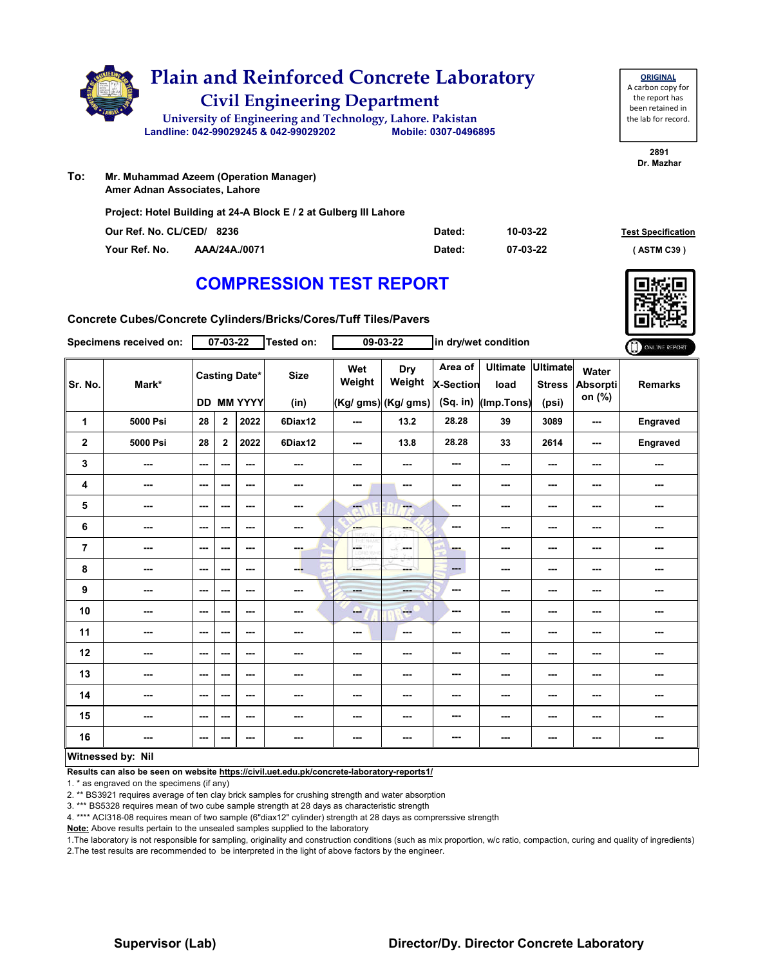|     | <b>Plain and Reinforced Concrete Laboratory</b><br><b>Civil Engineering Department</b> |                      |  |
|-----|----------------------------------------------------------------------------------------|----------------------|--|
|     | University of Engineering and Technology, Lahore. Pakistan                             |                      |  |
|     | Landline: 042-99029245 & 042-99029202                                                  | Mobile: 0307-0496895 |  |
| Го: | Mr. Muhammad Azeem (Operation Manager)                                                 |                      |  |

**To: Amer Adnan Associates, Lahore**

**Project: Hotel Building at 24-A Block E / 2 at Gulberg III Lahore**

| Our Ref. No. CL/CED/ 8236 |               | Dated: | 10-03-22 | <b>Test Specification</b> |
|---------------------------|---------------|--------|----------|---------------------------|
| Your Ref. No.             | AAA/24A./0071 | Dated: | 07-03-22 | (ASTM C39)                |

**2891 Dr. Mazhar**

**ORIGINAL** A carbon copy for the report has been retained in the lab for record.

### **COMPRESSION TEST REPORT**

**Concrete Cubes/Concrete Cylinders/Bricks/Cores/Tuff Tiles/Pavers**

|                | Specimens received on:   |                          | $07 - 03 - 22$ |                                           | Tested on:          |                 | $09 - 03 - 22$                       |                                           | in dry/wet condition                  |                                           |                                    | ONLINE REPORT  |
|----------------|--------------------------|--------------------------|----------------|-------------------------------------------|---------------------|-----------------|--------------------------------------|-------------------------------------------|---------------------------------------|-------------------------------------------|------------------------------------|----------------|
| Sr. No.        | Mark*                    |                          |                | <b>Casting Date*</b><br><b>DD MM YYYY</b> | <b>Size</b><br>(in) | Wet<br>Weight   | Dry<br>Weight<br>(Kg/ gms) (Kg/ gms) | Area of<br><b>X-Section</b><br>$(Sq.$ in) | <b>Ultimate</b><br>load<br>(Imp.Tons) | <b>Ultimate</b><br><b>Stress</b><br>(psi) | Water<br><b>Absorpti</b><br>on (%) | <b>Remarks</b> |
| 1              | 5000 Psi                 | 28                       | $\mathbf{2}$   | 2022                                      | 6Diax12             | $- - -$         | 13.2                                 | 28.28                                     | 39                                    | 3089                                      | ---                                | Engraved       |
| $\mathbf 2$    | 5000 Psi                 | 28                       | $\mathbf{2}$   | 2022                                      | 6Diax12             | $--$            | 13.8                                 | 28.28                                     | 33                                    | 2614                                      | ---                                | Engraved       |
| 3              | ---                      | $\sim$ $\sim$            | ---            | ---                                       | ---                 | ---             | ---                                  | $- - -$                                   | ---                                   | ---                                       | ---                                | ---            |
| 4              | ---                      | $\overline{\phantom{a}}$ | ---            | $- - -$                                   | ---                 | ---             | $\sim$                               | ---                                       | ---                                   | ---                                       | ---                                | ---            |
| 5              | ---                      | $\sim$ $\sim$            | ---            | $\sim$ $\sim$                             | $\sim$ $\sim$       | ---             | $-$                                  | ---                                       | ---                                   | ---                                       | ---                                | ---            |
| 6              | $\sim$                   | $--$                     | ---            | $\sim$ $\sim$                             | $\sim$              | ---             | ---                                  | ---                                       | ---                                   | ---                                       | ---                                | ---            |
| $\overline{7}$ | ---                      | $\sim$                   | ---            | $\overline{\phantom{a}}$                  | ---                 | CETHY<br>LORD V | ---                                  | -                                         | ---                                   | ---                                       | ---                                | ---            |
| 8              | $- - -$                  | $\overline{\phantom{a}}$ | ---            | $\sim$ $\sim$                             | --                  | ---             | ---                                  | $\cdots$                                  | ---                                   | $\overline{\phantom{a}}$                  | ---                                | ---            |
| 9              | $\overline{\phantom{a}}$ | $\overline{\phantom{a}}$ | ---            | $- - -$                                   | $\sim$              | <b>House</b>    | <b>SHOP</b>                          | ---                                       | ---                                   | ---                                       | ---                                | ---            |
| 10             | ---                      | $\overline{\phantom{a}}$ | ---            | $\sim$ $\sim$                             | ---                 | ---             | $-1$                                 | ---                                       | ---                                   | ---                                       | ---                                | ---            |
| 11             | $\cdots$                 | ---                      | ---            | ---                                       | $\sim$              | $\cdots$        | $\cdots$                             | ---                                       | ---                                   | ---                                       | ---                                | ---            |
| 12             | $- - -$                  | $\sim$ $\sim$            | ---            | $- - -$                                   | ---                 | ---             | ---                                  | ---                                       | ---                                   | ---                                       | ---                                | ---            |
| 13             | ---                      | ---                      | ---            | $- - -$                                   | ---                 | ---             | ---                                  | ---                                       | ---                                   | ---                                       | ---                                | ---            |
| 14             | ---                      | $--$                     | ---            | ---                                       | ---                 | ---             | ---                                  | ---                                       | ---                                   | ---                                       | ---                                | ---            |
| 15             | ---                      | $\sim$                   | ---            | ---                                       | ---                 | ---             | ---                                  | ---                                       | ---                                   | ---                                       | ---                                | ---            |
| 16             | ---                      | $\sim$                   | ---            | $- - -$                                   | $\sim$ $\sim$       | ---             | ---                                  | ---                                       | ---                                   | ---                                       | ---                                | ---            |
|                | <b>Witnessed by: Nil</b> |                          |                |                                           |                     |                 |                                      |                                           |                                       |                                           |                                    |                |

#### **Witnessed by: Nil**

**Results can also be seen on website https://civil.uet.edu.pk/concrete-laboratory-reports1/**

1. \* as engraved on the specimens (if any)

2. \*\* BS3921 requires average of ten clay brick samples for crushing strength and water absorption

3. \*\*\* BS5328 requires mean of two cube sample strength at 28 days as characteristic strength

4. \*\*\*\* ACI318-08 requires mean of two sample (6"diax12" cylinder) strength at 28 days as comprerssive strength

**Note:** Above results pertain to the unsealed samples supplied to the laboratory

1.The laboratory is not responsible for sampling, originality and construction conditions (such as mix proportion, w/c ratio, compaction, curing and quality of ingredients) 2.The test results are recommended to be interpreted in the light of above factors by the engineer.

### **Supervisor (Lab) Director/Dy. Director Concrete Laboratory**